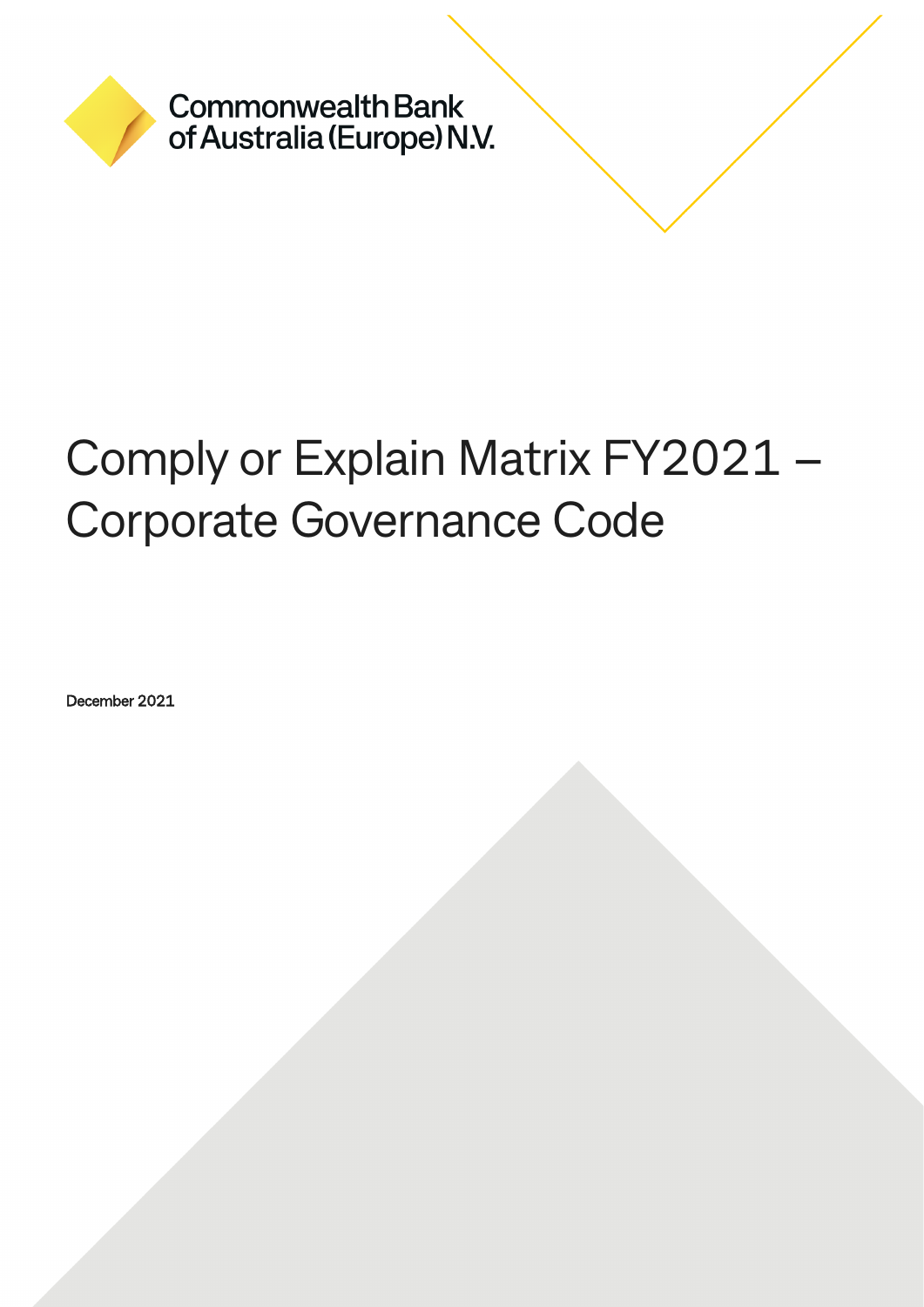

**Commonwealth Bank** of Australia (Europe) N.V.

# Comply or Explain Matrix FY2021 – Corporate Governance Code

December 2021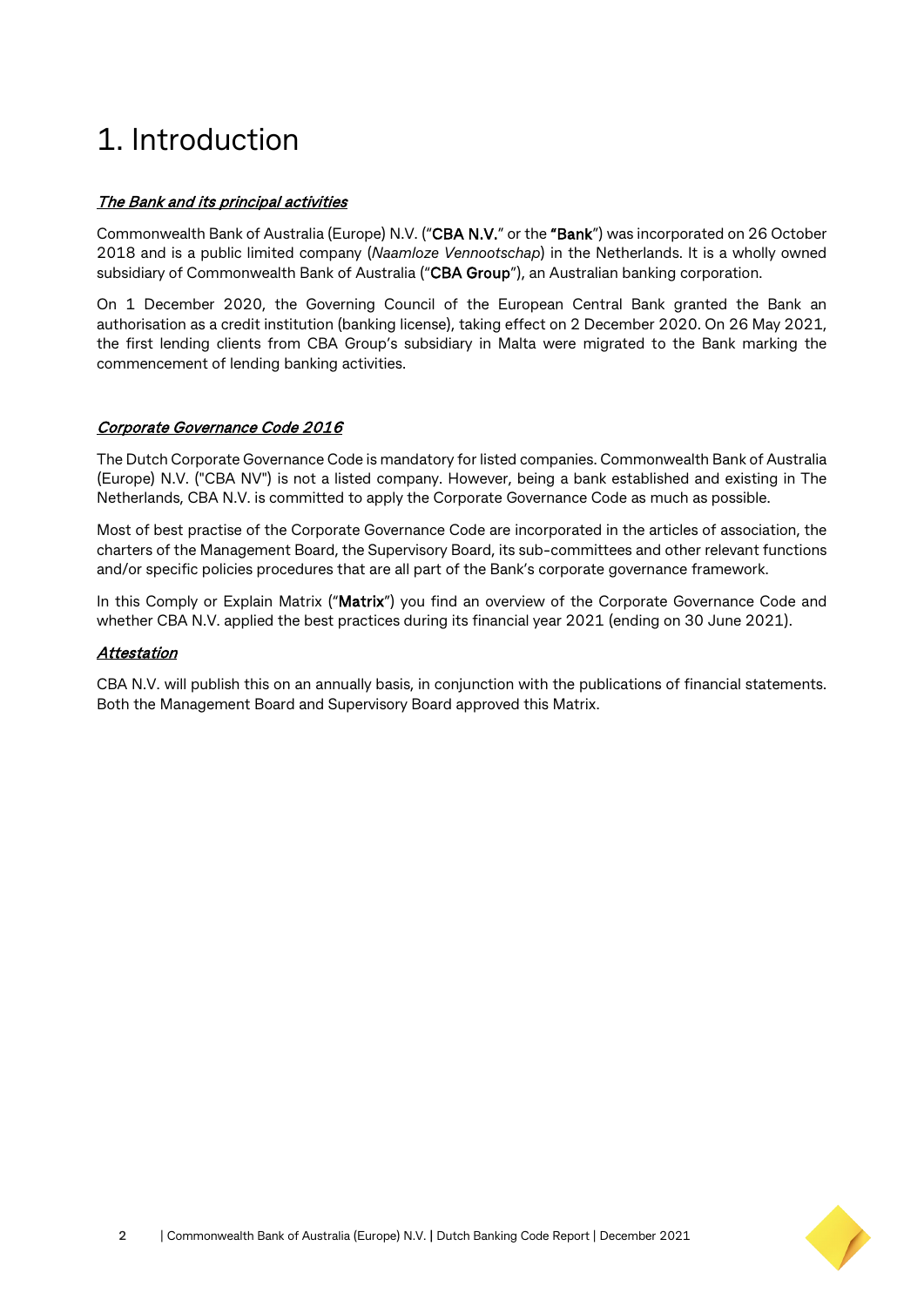## 1. Introduction

#### The Bank and its principal activities

Commonwealth Bank of Australia (Europe) N.V. ("CBA N.V." or the "Bank") was incorporated on 26 October 2018 and is a public limited company (*Naamloze Vennootschap*) in the Netherlands. It is a wholly owned subsidiary of Commonwealth Bank of Australia ("CBA Group"), an Australian banking corporation.

On 1 December 2020, the Governing Council of the European Central Bank granted the Bank an authorisation as a credit institution (banking license), taking effect on 2 December 2020. On 26 May 2021, the first lending clients from CBA Group's subsidiary in Malta were migrated to the Bank marking the commencement of lending banking activities.

#### Corporate Governance Code 2016

The Dutch Corporate Governance Code is mandatory for listed companies. Commonwealth Bank of Australia (Europe) N.V. ("CBA NV") is not a listed company. However, being a bank established and existing in The Netherlands, CBA N.V. is committed to apply the Corporate Governance Code as much as possible.

Most of best practise of the Corporate Governance Code are incorporated in the articles of association, the charters of the Management Board, the Supervisory Board, its sub-committees and other relevant functions and/or specific policies procedures that are all part of the Bank's corporate governance framework.

In this Comply or Explain Matrix ("Matrix") you find an overview of the Corporate Governance Code and whether CBA N.V. applied the best practices during its financial year 2021 (ending on 30 June 2021).

#### **Attestation**

CBA N.V. will publish this on an annually basis, in conjunction with the publications of financial statements. Both the Management Board and Supervisory Board approved this Matrix.

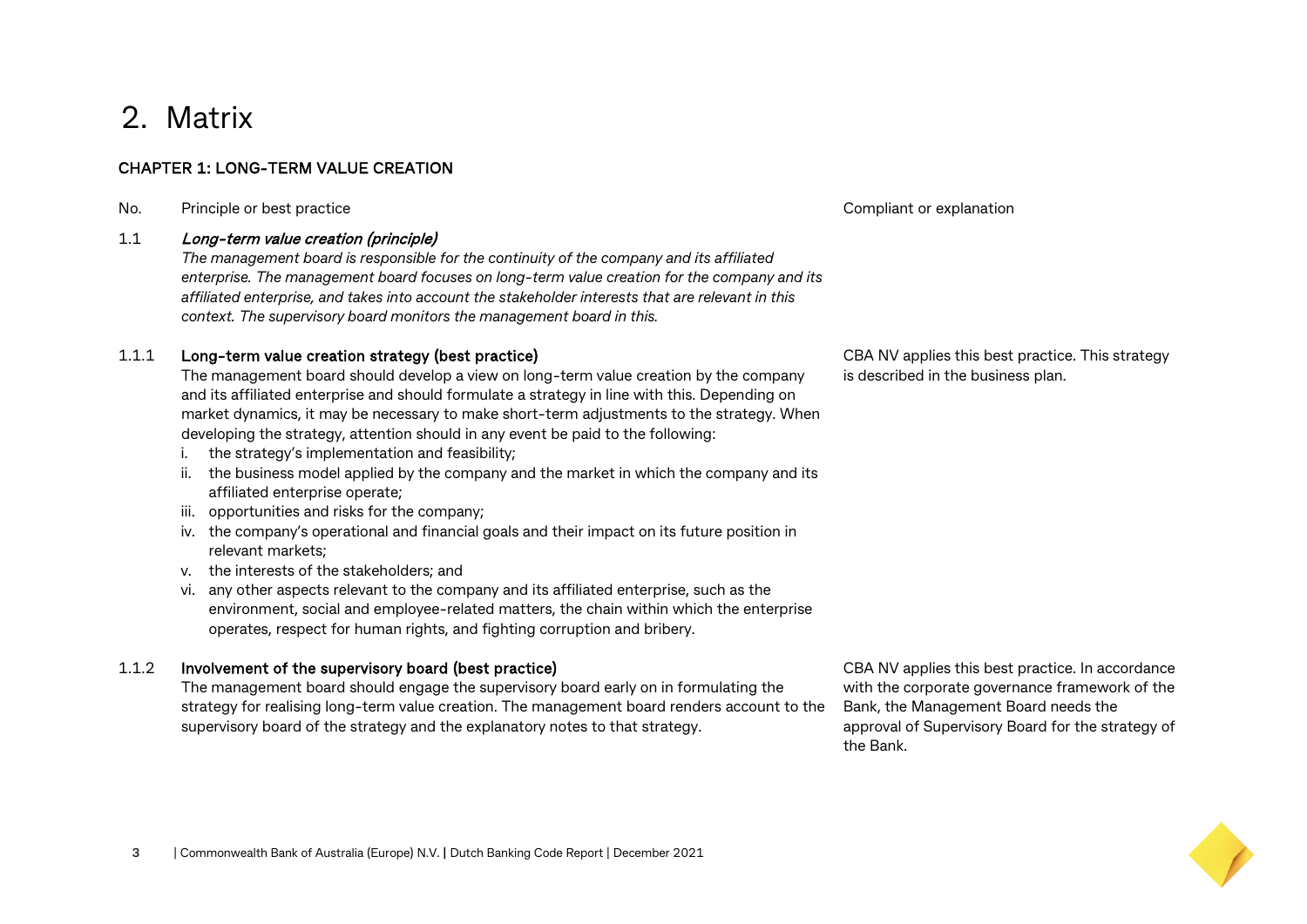### 2. Matrix

#### CHAPTER 1: LONG-TERM VALUE CREATION

No. Principle or best practice Compliant or explanation

#### 1.1 Long-term value creation (principle)

*The management board is responsible for the continuity of the company and its affiliated enterprise. The management board focuses on long-term value creation for the company and its affiliated enterprise, and takes into account the stakeholder interests that are relevant in this context. The supervisory board monitors the management board in this.*

#### 1.1.1 Long-term value creation strategy (best practice)

The management board should develop a view on long-term value creation by the company and its affiliated enterprise and should formulate a strategy in line with this. Depending on market dynamics, it may be necessary to make short-term adjustments to the strategy. When developing the strategy, attention should in any event be paid to the following:

- i. the strategy's implementation and feasibility;
- ii. the business model applied by the company and the market in which the company and its affiliated enterprise operate;
- iii. opportunities and risks for the company;
- iv. the company's operational and financial goals and their impact on its future position in relevant markets;
- v. the interests of the stakeholders; and
- vi. any other aspects relevant to the company and its affiliated enterprise, such as the environment, social and employee-related matters, the chain within which the enterprise operates, respect for human rights, and fighting corruption and bribery.

#### 1.1.2 Involvement of the supervisory board (best practice)

The management board should engage the supervisory board early on in formulating the strategy for realising long-term value creation. The management board renders account to the supervisory board of the strategy and the explanatory notes to that strategy.

CBA NV applies this best practice. In accordance with the corporate governance framework of the Bank, the Management Board needs the approval of Supervisory Board for the strategy of the Bank.

CBA NV applies this best practice. This strategy is described in the business plan.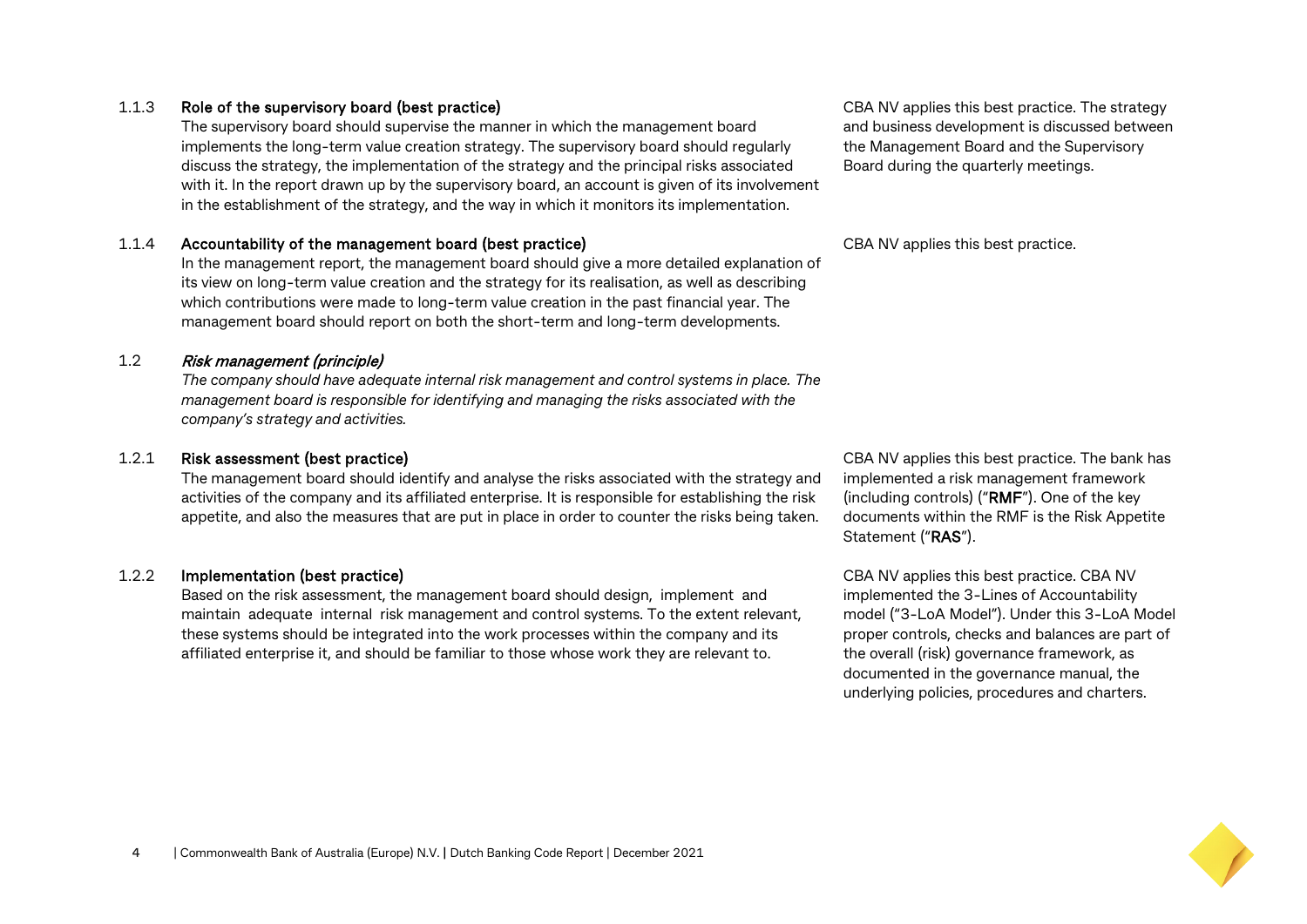#### 1.1.3 Role of the supervisory board (best practice)

The supervisory board should supervise the manner in which the management board implements the long-term value creation strategy. The supervisory board should regularly discuss the strategy, the implementation of the strategy and the principal risks associated with it. In the report drawn up by the supervisory board, an account is given of its involvement in the establishment of the strategy, and the way in which it monitors its implementation.

#### 1.1.4 Accountability of the management board (best practice)

In the management report, the management board should give a more detailed explanation of its view on long-term value creation and the strategy for its realisation, as well as describing which contributions were made to long-term value creation in the past financial year. The management board should report on both the short-term and long-term developments.

#### 1.2 Risk management (principle)

*The company should have adequate internal risk management and control systems in place. The management board is responsible for identifying and managing the risks associated with the company's strategy and activities.*

#### 1.2.1 Risk assessment (best practice)

The management board should identify and analyse the risks associated with the strategy and activities of the company and its affiliated enterprise. It is responsible for establishing the risk appetite, and also the measures that are put in place in order to counter the risks being taken.

#### 1.2.2 Implementation (best practice)

Based on the risk assessment, the management board should design, implement and maintain adequate internal risk management and control systems. To the extent relevant, these systems should be integrated into the work processes within the company and its affiliated enterprise it, and should be familiar to those whose work they are relevant to.

CBA NV applies this best practice. The strategy and business development is discussed between the Management Board and the Supervisory Board during the quarterly meetings.

CBA NV applies this best practice.

CBA NV applies this best practice. The bank has implemented a risk management framework (including controls) ("RMF"). One of the key documents within the RMF is the Risk Appetite Statement ("RAS").

CBA NV applies this best practice. CBA NV implemented the 3-Lines of Accountability model ("3-LoA Model"). Under this 3-LoA Model proper controls, checks and balances are part of the overall (risk) governance framework, as documented in the governance manual, the underlying policies, procedures and charters.

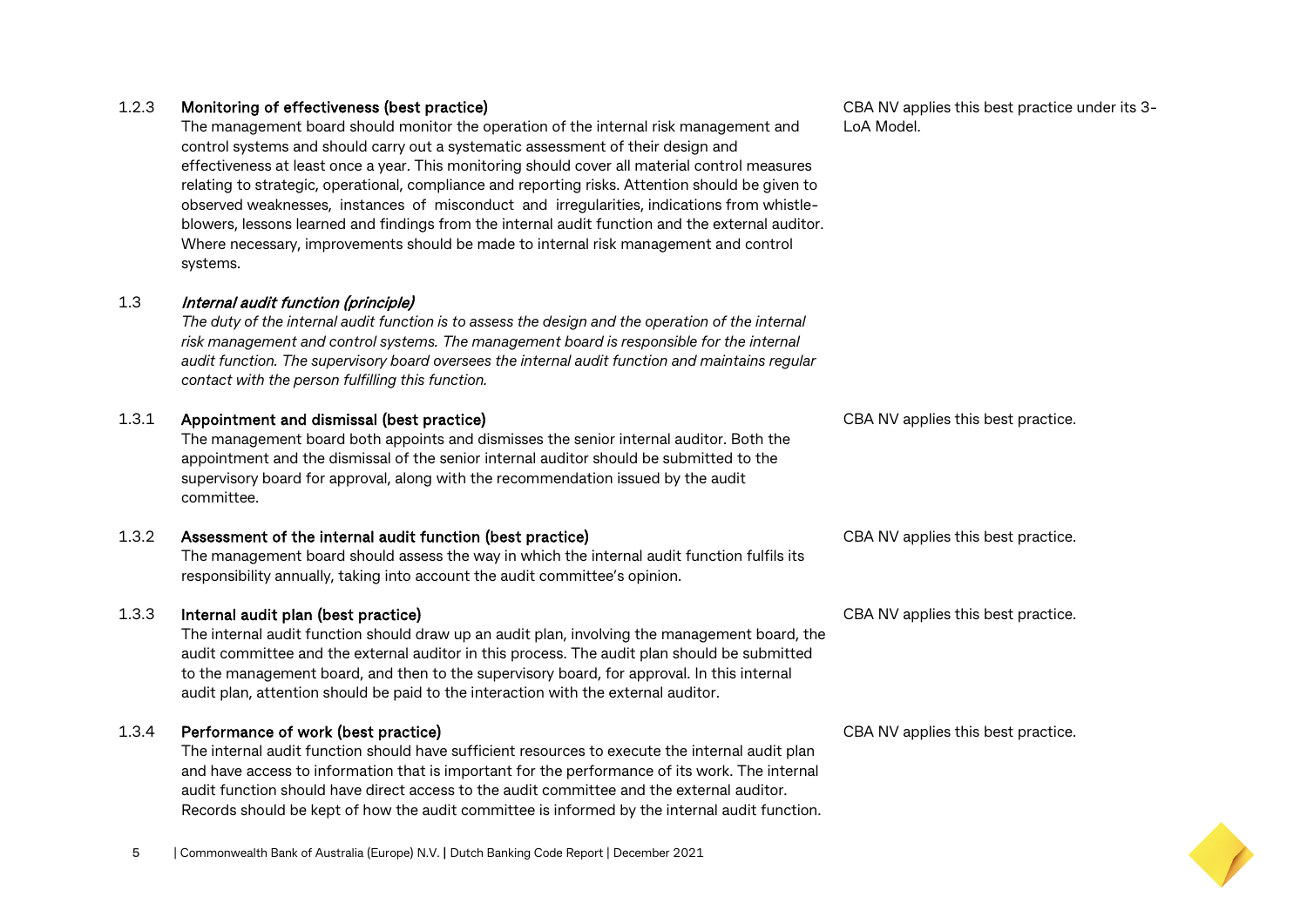#### 1.2.3 Monitoring of effectiveness (best practice)

The management board should monitor the operation of the internal risk management and control systems and should carry out a systematic assessment of their design and effectiveness at least once a year. This monitoring should cover all material control measures relating to strategic, operational, compliance and reporting risks. Attention should be given to observed weaknesses, instances of misconduct and irregularities, indications from whistleblowers, lessons learned and findings from the internal audit function and the external auditor. Where necessary, improvements should be made to internal risk management and control systems.

#### 1.3 Internal audit function (principle)

*The duty of the internal audit function is to assess the design and the operation of the internal risk management and control systems. The management board is responsible for the internal audit function. The supervisory board oversees the internal audit function and maintains regular contact with the person fulfilling this function.*

#### 1.3.1 Appointment and dismissal (best practice)

The management board both appoints and dismisses the senior internal auditor. Both the appointment and the dismissal of the senior internal auditor should be submitted to the supervisory board for approval, along with the recommendation issued by the audit committee.

#### 1.3.2 Assessment of the internal audit function (best practice)

The management board should assess the way in which the internal audit function fulfils its responsibility annually, taking into account the audit committee's opinion.

#### 1.3.3 Internal audit plan (best practice)

The internal audit function should draw up an audit plan, involving the management board, the audit committee and the external auditor in this process. The audit plan should be submitted to the management board, and then to the supervisory board, for approval. In this internal audit plan, attention should be paid to the interaction with the external auditor.

#### 1.3.4 Performance of work (best practice)

The internal audit function should have sufficient resources to execute the internal audit plan and have access to information that is important for the performance of its work. The internal audit function should have direct access to the audit committee and the external auditor. Records should be kept of how the audit committee is informed by the internal audit function.

CBA NV applies this best practice under its 3- LoA Model.

CBA NV applies this best practice.

CBA NV applies this best practice.

CBA NV applies this best practice.

CBA NV applies this best practice.



**5** | Commonwealth Bank of Australia (Europe) N.V. **|** Dutch Banking Code Report | December 2021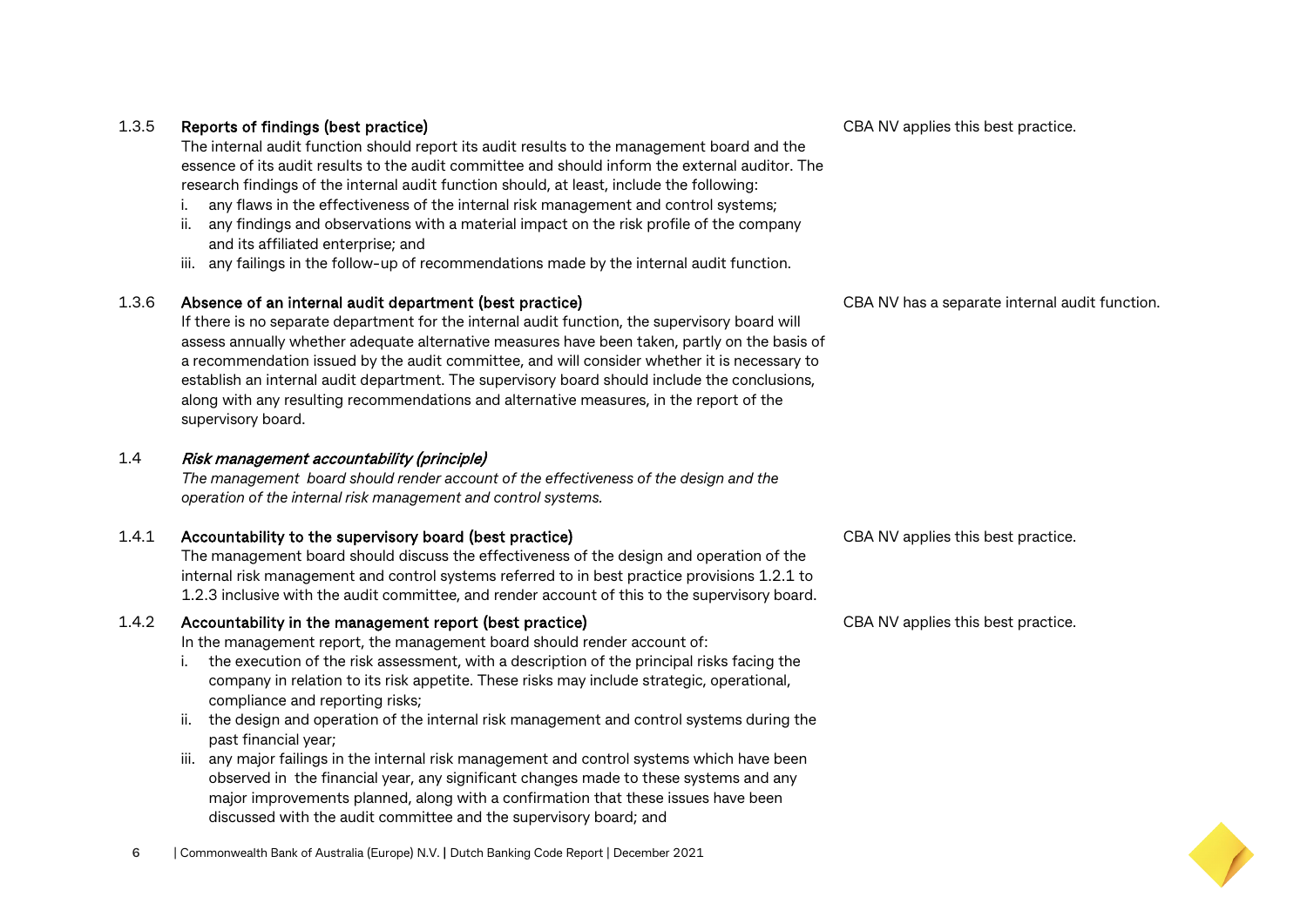#### 1.3.5 Reports of findings (best practice)

The internal audit function should report its audit results to the management board and the essence of its audit results to the audit committee and should inform the external auditor. The research findings of the internal audit function should, at least, include the following:

- i. any flaws in the effectiveness of the internal risk management and control systems;
- ii. any findings and observations with a material impact on the risk profile of the company and its affiliated enterprise; and
- iii. any failings in the follow-up of recommendations made by the internal audit function.

#### 1.3.6 Absence of an internal audit department (best practice)

If there is no separate department for the internal audit function, the supervisory board will assess annually whether adequate alternative measures have been taken, partly on the basis of a recommendation issued by the audit committee, and will consider whether it is necessary to establish an internal audit department. The supervisory board should include the conclusions, along with any resulting recommendations and alternative measures, in the report of the supervisory board.

#### 1.4 Risk management accountability (principle)

*The management board should render account of the effectiveness of the design and the operation of the internal risk management and control systems.*

#### 1.4.1 Accountability to the supervisory board (best practice)

The management board should discuss the effectiveness of the design and operation of the internal risk management and control systems referred to in best practice provisions 1.2.1 to 1.2.3 inclusive with the audit committee, and render account of this to the supervisory board.

#### 1.4.2 Accountability in the management report (best practice)

In the management report, the management board should render account of:

- i. the execution of the risk assessment, with a description of the principal risks facing the company in relation to its risk appetite. These risks may include strategic, operational, compliance and reporting risks;
- ii. the design and operation of the internal risk management and control systems during the past financial year;
- iii. any major failings in the internal risk management and control systems which have been observed in the financial year, any significant changes made to these systems and any major improvements planned, along with a confirmation that these issues have been discussed with the audit committee and the supervisory board; and

CBA NV has a separate internal audit function.

CBA NV applies this best practice.

CBA NV applies this best practice.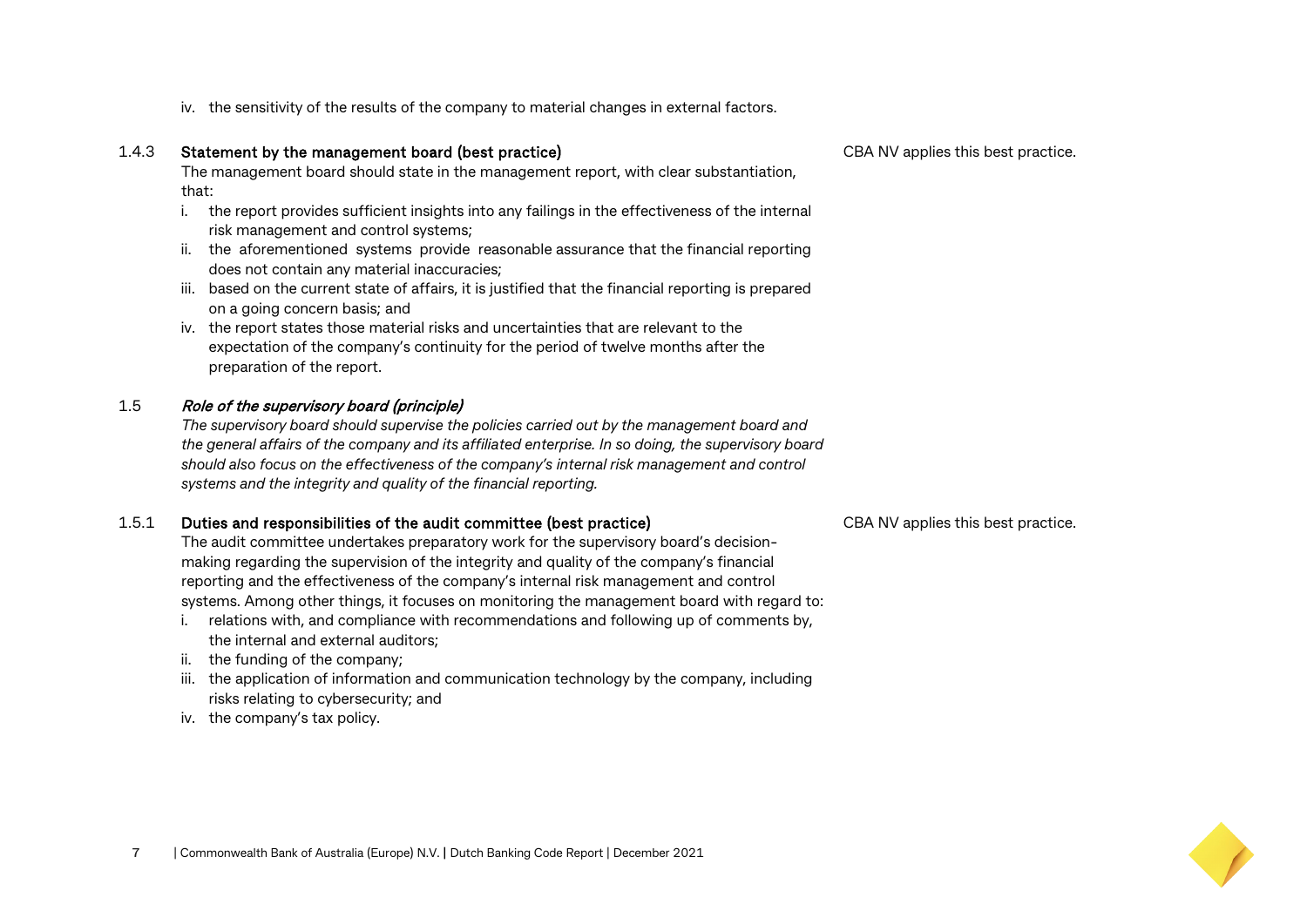iv. the sensitivity of the results of the company to material changes in external factors.

#### 1.4.3 Statement by the management board (best practice)

The management board should state in the management report, with clear substantiation, that:

- i. the report provides sufficient insights into any failings in the effectiveness of the internal risk management and control systems;
- ii. the aforementioned systems provide reasonable assurance that the financial reporting does not contain any material inaccuracies;
- iii. based on the current state of affairs, it is justified that the financial reporting is prepared on a going concern basis; and
- iv. the report states those material risks and uncertainties that are relevant to the expectation of the company's continuity for the period of twelve months after the preparation of the report.

#### 1.5 Role of the supervisory board (principle)

*The supervisory board should supervise the policies carried out by the management board and the general affairs of the company and its affiliated enterprise. In so doing, the supervisory board should also focus on the effectiveness of the company's internal risk management and control systems and the integrity and quality of the financial reporting.*

#### 1.5.1 Duties and responsibilities of the audit committee (best practice)

The audit committee undertakes preparatory work for the supervisory board's decisionmaking regarding the supervision of the integrity and quality of the company's financial reporting and the effectiveness of the company's internal risk management and control systems. Among other things, it focuses on monitoring the management board with regard to:

- i. relations with, and compliance with recommendations and following up of comments by, the internal and external auditors;
- ii. the funding of the company;
- iii. the application of information and communication technology by the company, including risks relating to cybersecurity; and
- iv. the company's tax policy.

CBA NV applies this best practice.

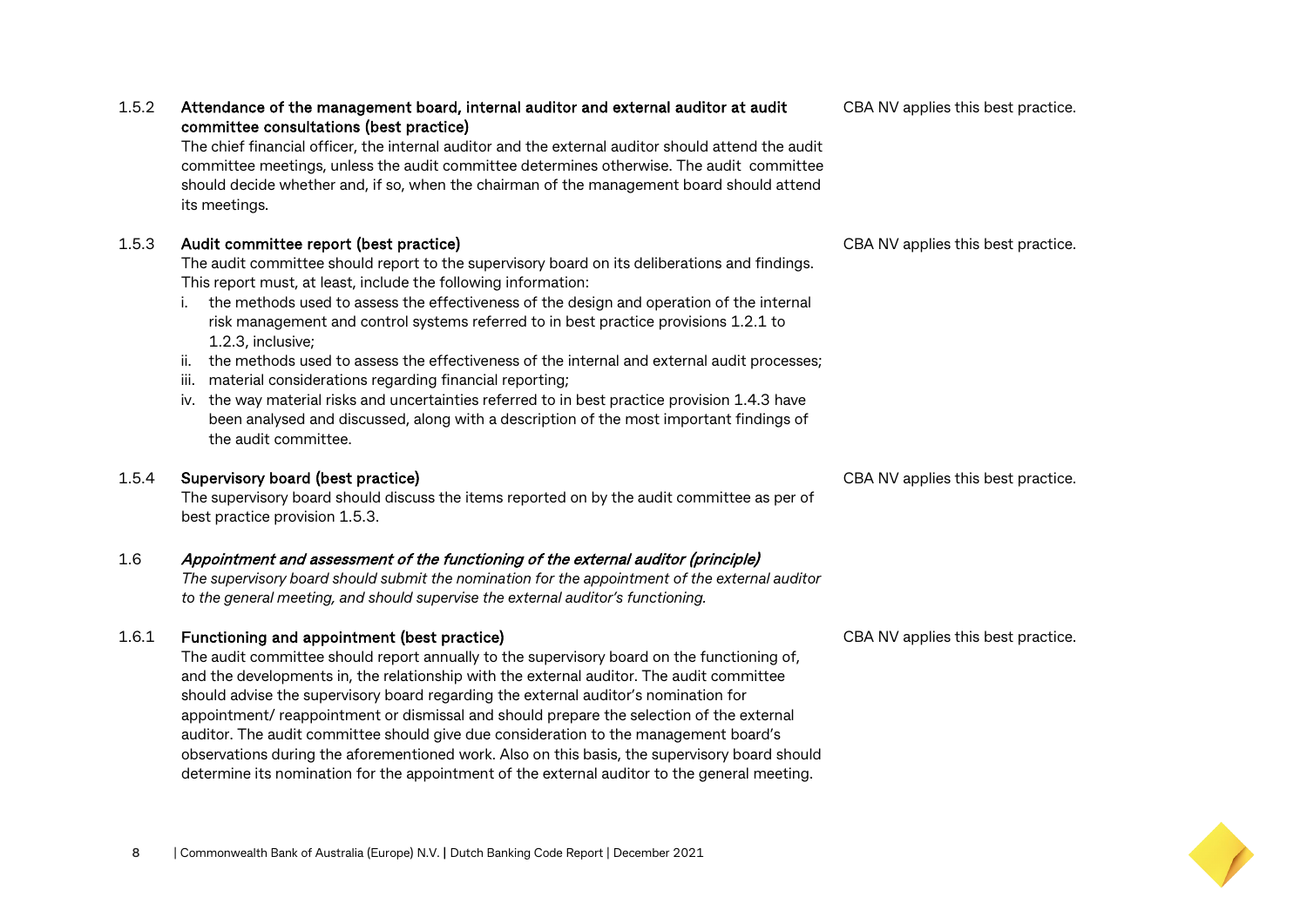|       | The chief financial officer, the internal auditor and the external auditor should attend the audit<br>committee meetings, unless the audit committee determines otherwise. The audit committee<br>should decide whether and, if so, when the chairman of the management board should attend<br>its meetings.                                                                                                       |                                    |
|-------|--------------------------------------------------------------------------------------------------------------------------------------------------------------------------------------------------------------------------------------------------------------------------------------------------------------------------------------------------------------------------------------------------------------------|------------------------------------|
| 1.5.3 | Audit committee report (best practice)<br>The audit committee should report to the supervisory board on its deliberations and findings.<br>This report must, at least, include the following information:<br>the methods used to assess the effectiveness of the design and operation of the internal<br>risk management and control systems referred to in best practice provisions 1.2.1 to<br>1.2.3, inclusive; | CBA NV applies this best practice. |
|       | the methods used to assess the effectiveness of the internal and external audit processes;<br>ii.<br>iii.<br>material considerations regarding financial reporting;<br>the way material risks and uncertainties referred to in best practice provision 1.4.3 have<br>iv.<br>been analysed and discussed, along with a description of the most important findings of<br>the audit committee.                        |                                    |
| 1.5.4 | Supervisory board (best practice)<br>The supervisory board should discuss the items reported on by the audit committee as per of<br>best practice provision 1.5.3.                                                                                                                                                                                                                                                 | CBA NV applies this best practice. |
| 1.6   | Appointment and assessment of the functioning of the external auditor (principle)<br>The supervisory board should submit the nomination for the appointment of the external auditor<br>to the general meeting, and should supervise the external auditor's functioning.                                                                                                                                            |                                    |

1.5.2 Attendance of the management board, internal auditor and external auditor at audit

#### 1.6.1 Functioning and appointment (best practice)

committee consultations (best practice)

The audit committee should report annually to the supervisory board on the functioning of, and the developments in, the relationship with the external auditor. The audit committee should advise the supervisory board regarding the external auditor's nomination for appointment/ reappointment or dismissal and should prepare the selection of the external auditor. The audit committee should give due consideration to the management board's observations during the aforementioned work. Also on this basis, the supervisory board should determine its nomination for the appointment of the external auditor to the general meeting.

CBA NV applies this best practice.

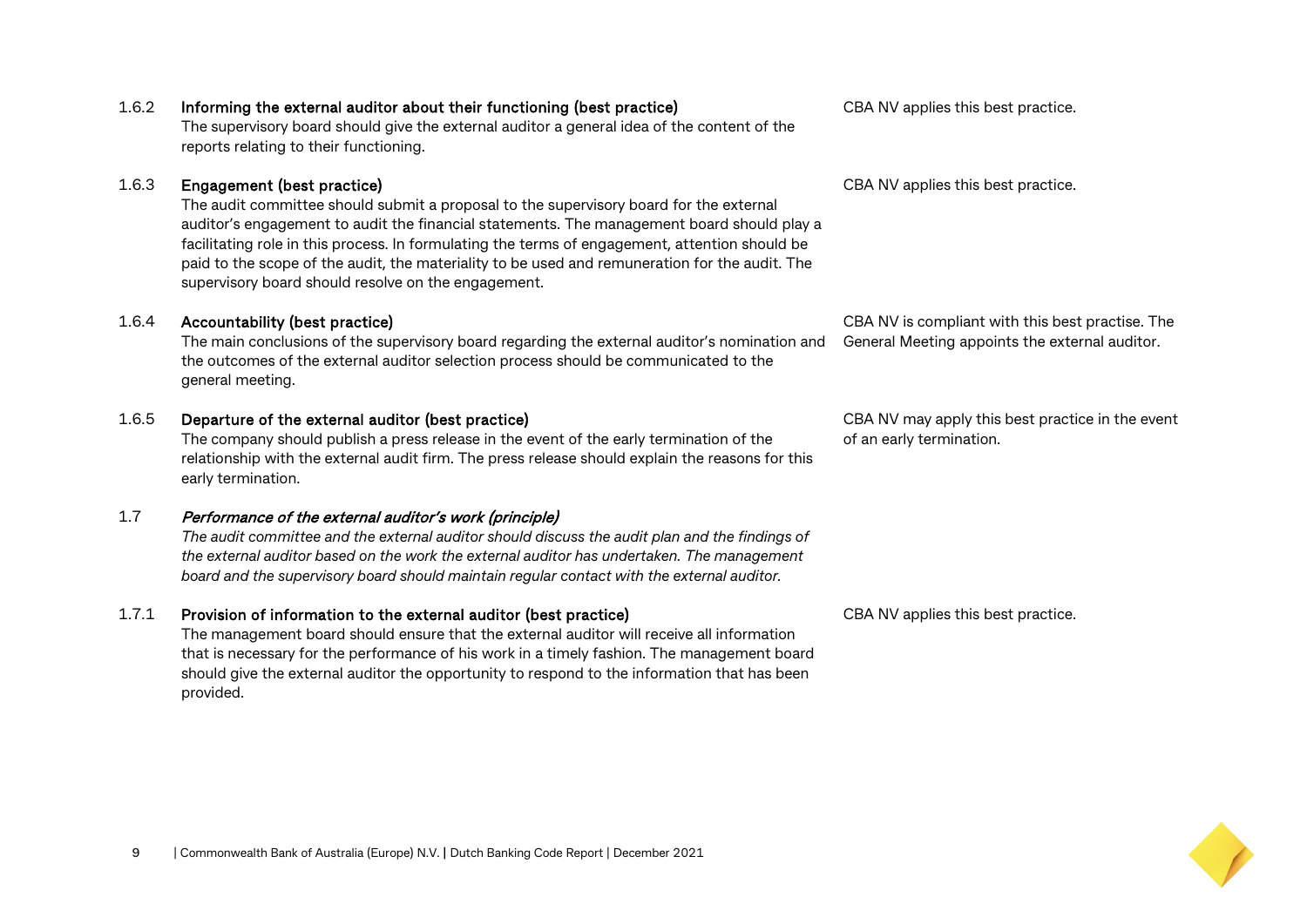#### 1.6.2 Informing the external auditor about their functioning (best practice)

The supervisory board should give the external auditor a general idea of the content of the reports relating to their functioning.

#### 1.6.3 Engagement (best practice)

The audit committee should submit a proposal to the supervisory board for the external auditor's engagement to audit the financial statements. The management board should play a facilitating role in this process. In formulating the terms of engagement, attention should be paid to the scope of the audit, the materiality to be used and remuneration for the audit. The supervisory board should resolve on the engagement.

#### 1.6.4 Accountability (best practice)

The main conclusions of the supervisory board regarding the external auditor's nomination and the outcomes of the external auditor selection process should be communicated to the general meeting.

#### 1.6.5 Departure of the external auditor (best practice)

The company should publish a press release in the event of the early termination of the relationship with the external audit firm. The press release should explain the reasons for this early termination.

#### 1.7 Performance of the external auditor's work (principle)

*The audit committee and the external auditor should discuss the audit plan and the findings of the external auditor based on the work the external auditor has undertaken. The management board and the supervisory board should maintain regular contact with the external auditor.*

#### 1.7.1 Provision of information to the external auditor (best practice)

The management board should ensure that the external auditor will receive all information that is necessary for the performance of his work in a timely fashion. The management board should give the external auditor the opportunity to respond to the information that has been provided.

CBA NV applies this best practice.

CBA NV applies this best practice.

CBA NV is compliant with this best practise. The General Meeting appoints the external auditor.

CBA NV may apply this best practice in the event of an early termination.

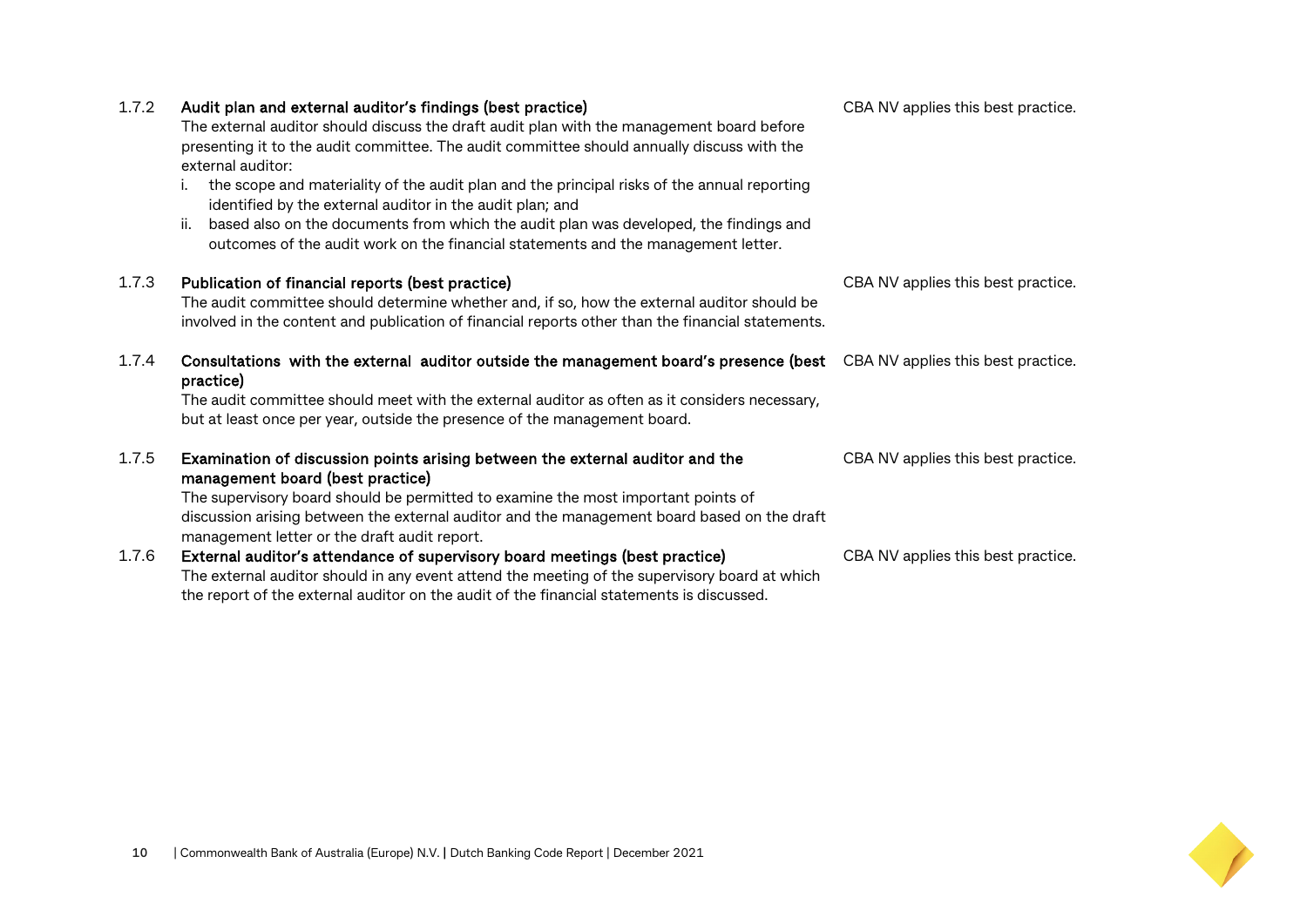| 1.7.2 | Audit plan and external auditor's findings (best practice)<br>The external auditor should discuss the draft audit plan with the management board before<br>presenting it to the audit committee. The audit committee should annually discuss with the<br>external auditor:<br>the scope and materiality of the audit plan and the principal risks of the annual reporting<br>identified by the external auditor in the audit plan; and<br>based also on the documents from which the audit plan was developed, the findings and<br>ii.<br>outcomes of the audit work on the financial statements and the management letter. | CBA NV applies this best practice. |
|-------|-----------------------------------------------------------------------------------------------------------------------------------------------------------------------------------------------------------------------------------------------------------------------------------------------------------------------------------------------------------------------------------------------------------------------------------------------------------------------------------------------------------------------------------------------------------------------------------------------------------------------------|------------------------------------|
| 1.7.3 | Publication of financial reports (best practice)<br>The audit committee should determine whether and, if so, how the external auditor should be<br>involved in the content and publication of financial reports other than the financial statements.                                                                                                                                                                                                                                                                                                                                                                        | CBA NV applies this best practice. |
| 1.7.4 | Consultations with the external auditor outside the management board's presence (best CBANV applies this best practice.<br>practice)<br>The audit committee should meet with the external auditor as often as it considers necessary,<br>but at least once per year, outside the presence of the management board.                                                                                                                                                                                                                                                                                                          |                                    |
| 1.7.5 | Examination of discussion points arising between the external auditor and the<br>management board (best practice)<br>The supervisory board should be permitted to examine the most important points of<br>discussion arising between the external auditor and the management board based on the draft<br>management letter or the draft audit report.                                                                                                                                                                                                                                                                       | CBA NV applies this best practice. |
| 1.7.6 | External auditor's attendance of supervisory board meetings (best practice)<br>The external auditor should in any event attend the meeting of the supervisory board at which<br>the report of the external auditor on the audit of the financial statements is discussed.                                                                                                                                                                                                                                                                                                                                                   | CBA NV applies this best practice. |

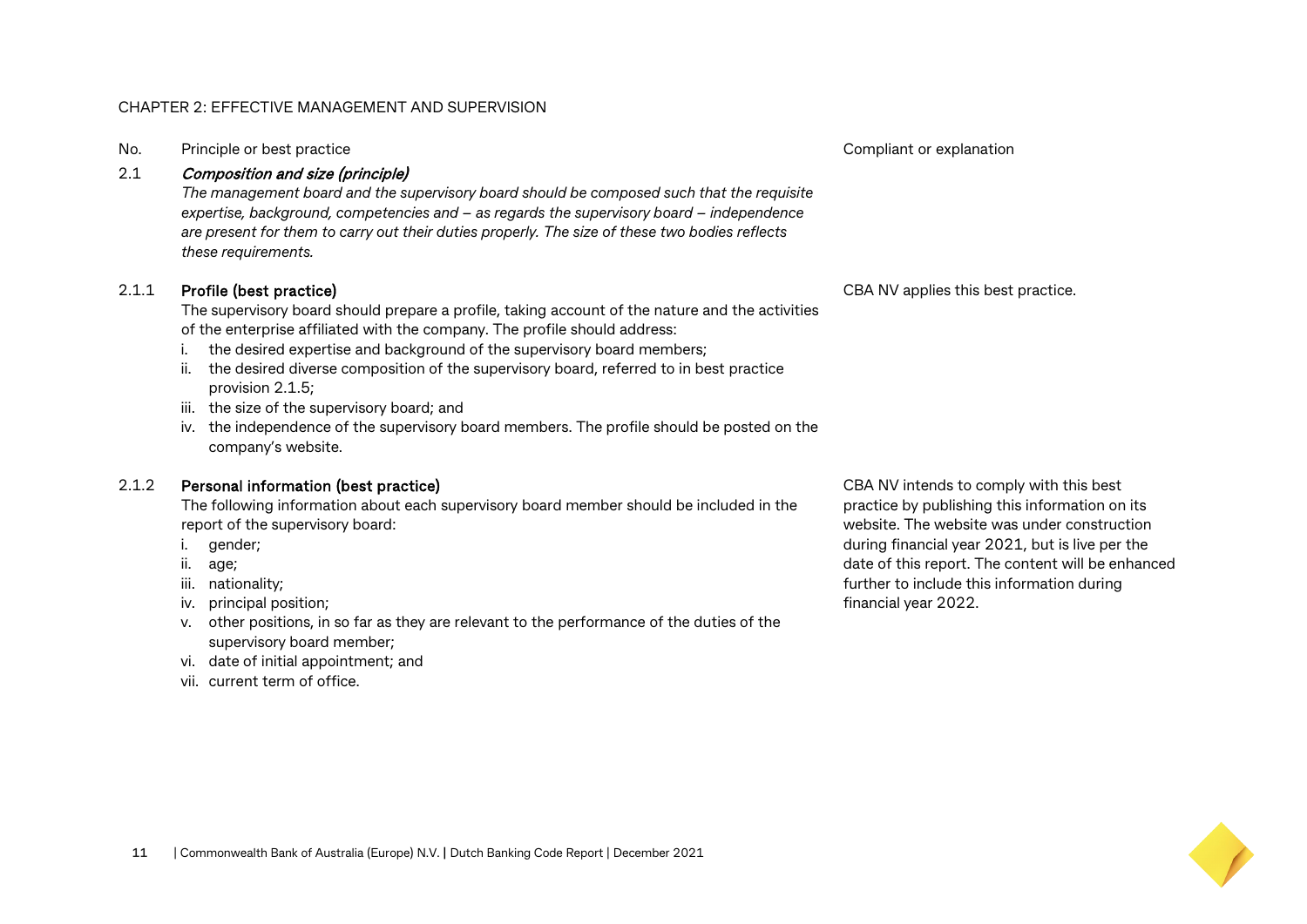#### CHAPTER 2: EFFECTIVE MANAGEMENT AND SUPERVISION

No. Principle or best practice Compliant or explanation  $\sim$  Compliant or explanation

#### 2.1 Composition and size (principle)

*The management board and the supervisory board should be composed such that the requisite expertise, background, competencies and – as regards the supervisory board – independence are present for them to carry out their duties properly. The size of these two bodies reflects these requirements.*

#### 2.1.1 Profile (best practice)

The supervisory board should prepare a profile, taking account of the nature and the activities of the enterprise affiliated with the company. The profile should address:

- i. the desired expertise and background of the supervisory board members;
- ii. the desired diverse composition of the supervisory board, referred to in best practice provision 2.1.5;
- iii. the size of the supervisory board; and
- iv. the independence of the supervisory board members. The profile should be posted on the company's website.

#### 2.1.2 Personal information (best practice)

The following information about each supervisory board member should be included in the report of the supervisory board:

- i. gender;
- ii. age;
- iii. nationality;
- iv. principal position;
- v. other positions, in so far as they are relevant to the performance of the duties of the supervisory board member;
- vi. date of initial appointment; and
- vii. current term of office.

CBA NV intends to comply with this best practice by publishing this information on its website. The website was under construction during financial year 2021, but is live per the date of this report. The content will be enhanced further to include this information during financial year 2022.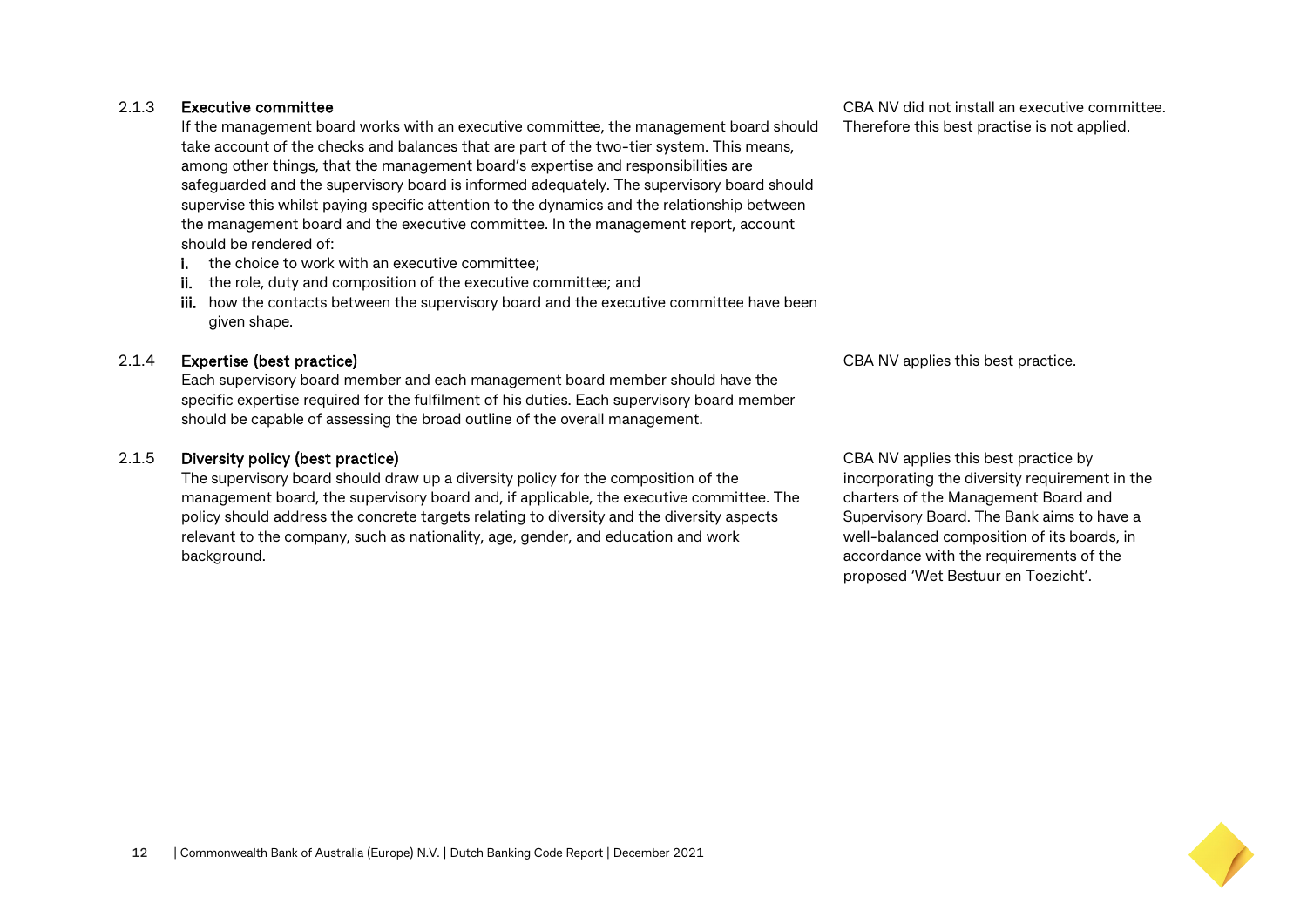#### 2.1.3 Executive committee

If the management board works with an executive committee, the management board should take account of the checks and balances that are part of the two-tier system. This means, among other things, that the management board's expertise and responsibilities are safeguarded and the supervisory board is informed adequately. The supervisory board should supervise this whilst paying specific attention to the dynamics and the relationship between the management board and the executive committee. In the management report, account should be rendered of:

- i. the choice to work with an executive committee;
- ii. the role, duty and composition of the executive committee; and
- iii. how the contacts between the supervisory board and the executive committee have been given shape.

#### 2.1.4 Expertise (best practice)

Each supervisory board member and each management board member should have the specific expertise required for the fulfilment of his duties. Each supervisory board member should be capable of assessing the broad outline of the overall management.

#### 2.1.5 Diversity policy (best practice)

The supervisory board should draw up a diversity policy for the composition of the management board, the supervisory board and, if applicable, the executive committee. The policy should address the concrete targets relating to diversity and the diversity aspects relevant to the company, such as nationality, age, gender, and education and work background.

CBA NV applies this best practice by incorporating the diversity requirement in the charters of the Management Board and Supervisory Board. The Bank aims to have a well-balanced composition of its boards, in accordance with the requirements of the proposed 'Wet Bestuur en Toezicht'.



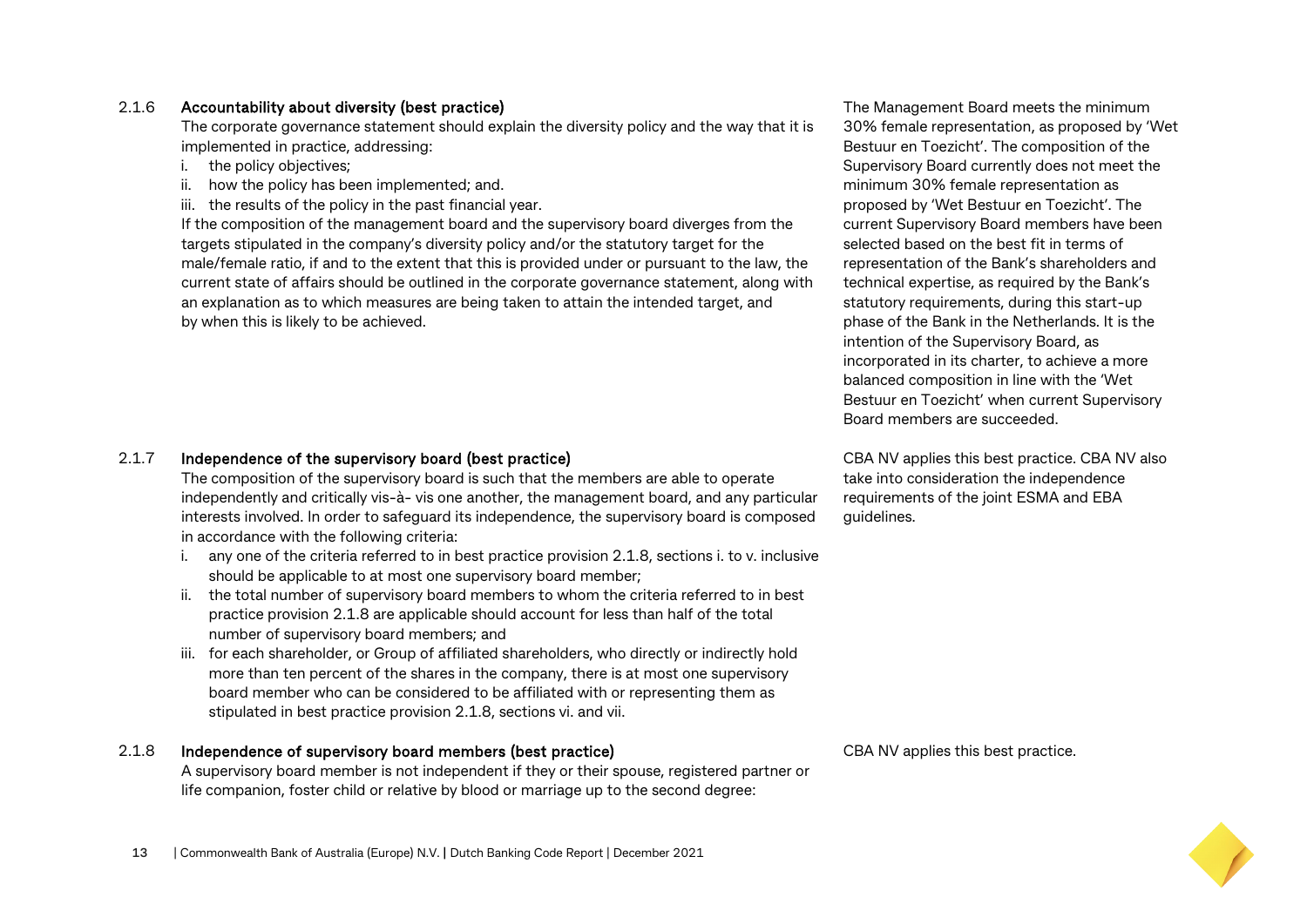#### 2.1.6 Accountability about diversity (best practice)

The corporate governance statement should explain the diversity policy and the way that it is implemented in practice, addressing:

- i. the policy objectives;
- ii. how the policy has been implemented; and.
- iii. the results of the policy in the past financial year.

If the composition of the management board and the supervisory board diverges from the targets stipulated in the company's diversity policy and/or the statutory target for the male/female ratio, if and to the extent that this is provided under or pursuant to the law, the current state of affairs should be outlined in the corporate governance statement, along with an explanation as to which measures are being taken to attain the intended target, and by when this is likely to be achieved.

2.1.7 Independence of the supervisory board (best practice)

The composition of the supervisory board is such that the members are able to operate independently and critically vis-à- vis one another, the management board, and any particular interests involved. In order to safeguard its independence, the supervisory board is composed in accordance with the following criteria:

- i. any one of the criteria referred to in best practice provision 2.1.8, sections i. to v. inclusive should be applicable to at most one supervisory board member;
- ii. the total number of supervisory board members to whom the criteria referred to in best practice provision 2.1.8 are applicable should account for less than half of the total number of supervisory board members; and
- iii. for each shareholder, or Group of affiliated shareholders, who directly or indirectly hold more than ten percent of the shares in the company, there is at most one supervisory board member who can be considered to be affiliated with or representing them as stipulated in best practice provision 2.1.8, sections vi. and vii.

#### 2.1.8 Independence of supervisory board members (best practice)

A supervisory board member is not independent if they or their spouse, registered partner or life companion, foster child or relative by blood or marriage up to the second degree:

The Management Board meets the minimum 30% female representation, as proposed by 'Wet Bestuur en Toezicht'. The composition of the Supervisory Board currently does not meet the minimum 30% female representation as proposed by 'Wet Bestuur en Toezicht'. The current Supervisory Board members have been selected based on the best fit in terms of representation of the Bank's shareholders and technical expertise, as required by the Bank's statutory requirements, during this start-up phase of the Bank in the Netherlands. It is the intention of the Supervisory Board, as incorporated in its charter, to achieve a more balanced composition in line with the 'Wet Bestuur en Toezicht' when current Supervisory Board members are succeeded.

CBA NV applies this best practice. CBA NV also take into consideration the independence requirements of the joint ESMA and EBA guidelines.

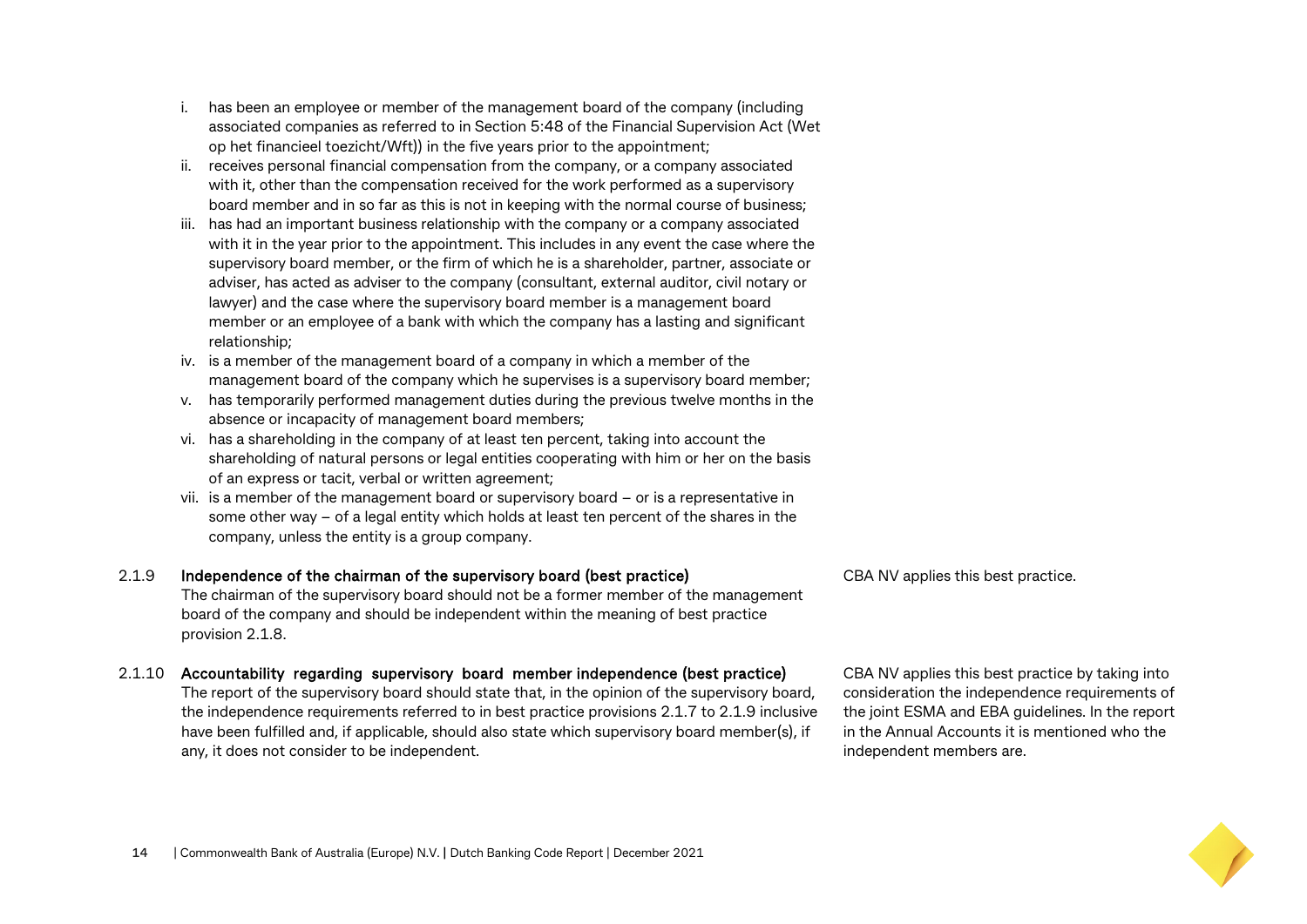- i. has been an employee or member of the management board of the company (including associated companies as referred to in Section 5:48 of the Financial Supervision Act (Wet op het financieel toezicht/Wft)) in the five years prior to the appointment;
- ii. receives personal financial compensation from the company, or a company associated with it, other than the compensation received for the work performed as a supervisory board member and in so far as this is not in keeping with the normal course of business;
- iii. has had an important business relationship with the company or a company associated with it in the year prior to the appointment. This includes in any event the case where the supervisory board member, or the firm of which he is a shareholder, partner, associate or adviser, has acted as adviser to the company (consultant, external auditor, civil notary or lawyer) and the case where the supervisory board member is a management board member or an employee of a bank with which the company has a lasting and significant relationship;
- iv. is a member of the management board of a company in which a member of the management board of the company which he supervises is a supervisory board member;
- v. has temporarily performed management duties during the previous twelve months in the absence or incapacity of management board members;
- vi. has a shareholding in the company of at least ten percent, taking into account the shareholding of natural persons or legal entities cooperating with him or her on the basis of an express or tacit, verbal or written agreement;
- vii. is a member of the management board or supervisory board or is a representative in some other way – of a legal entity which holds at least ten percent of the shares in the company, unless the entity is a group company.

#### 2.1.9 Independence of the chairman of the supervisory board (best practice) The chairman of the supervisory board should not be a former member of the management

board of the company and should be independent within the meaning of best practice provision 2.1.8.

#### 2.1.10 Accountability regarding supervisory board member independence (best practice)

The report of the supervisory board should state that, in the opinion of the supervisory board, the independence requirements referred to in best practice provisions 2.1.7 to 2.1.9 inclusive have been fulfilled and, if applicable, should also state which supervisory board member(s), if any, it does not consider to be independent.

CBA NV applies this best practice.

CBA NV applies this best practice by taking into consideration the independence requirements of the joint ESMA and EBA guidelines. In the report in the Annual Accounts it is mentioned who the independent members are.

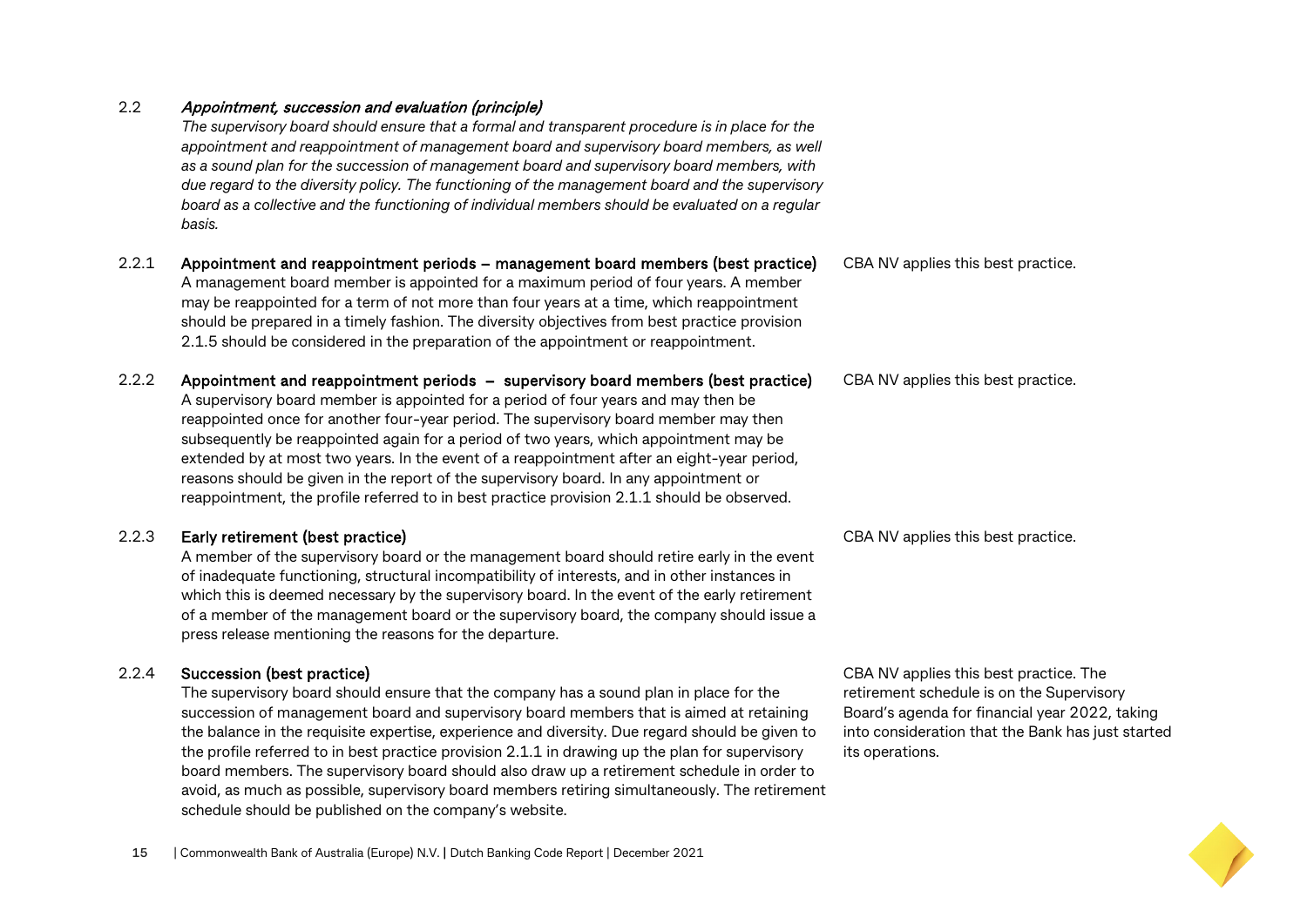#### 2.2 Appointment, succession and evaluation (principle)

*The supervisory board should ensure that a formal and transparent procedure is in place for the*  appointment and reappointment of management board and supervisory board members, as well *as a sound plan for the succession of management board and supervisory board members, with due regard to the diversity policy. The functioning of the management board and the supervisory board as a collective and the functioning of individual members should be evaluated on a regular basis.*

- 2.2.1 Appointment and reappointment periods management board members (best practice) A management board member is appointed for a maximum period of four years. A member may be reappointed for a term of not more than four years at a time, which reappointment should be prepared in a timely fashion. The diversity objectives from best practice provision 2.1.5 should be considered in the preparation of the appointment or reappointment.
- 2.2.2 Appointment and reappointment periods supervisory board members (best practice) A supervisory board member is appointed for a period of four years and may then be reappointed once for another four-year period. The supervisory board member may then subsequently be reappointed again for a period of two years, which appointment may be extended by at most two years. In the event of a reappointment after an eight-year perio reasons should be given in the report of the supervisory board. In any appointment or reappointment, the profile referred to in best practice provision 2.1.1 should be observed.

#### 2.2.3 Early retirement (best practice)

A member of the supervisory board or the management board should retire early in the e of inadequate functioning, structural incompatibility of interests, and in other instances in which this is deemed necessary by the supervisory board. In the event of the early retirem of a member of the management board or the supervisory board, the company should issue a press release mentioning the reasons for the departure.

#### 2.2.4 Succession (best practice)

The supervisory board should ensure that the company has a sound plan in place for the succession of management board and supervisory board members that is aimed at retaining the balance in the requisite expertise, experience and diversity. Due regard should be given to the profile referred to in best practice provision 2.1.1 in drawing up the plan for supervisory board members. The supervisory board should also draw up a retirement schedule in order to avoid, as much as possible, supervisory board members retiring simultaneously. The retirement schedule should be published on the company's website.

| d,         |                                    |
|------------|------------------------------------|
| ı.         |                                    |
|            | CBA NV applies this best practice. |
| vent       |                                    |
| n          |                                    |
| nent       |                                    |
| . <b>.</b> |                                    |

CBA NV applies this best practice.

CBA NV applies this best practice.

CBA NV applies this best practice. The retirement schedule is on the Supervisory Board's agenda for financial year 2022, taking into consideration that the Bank has just started its operations.

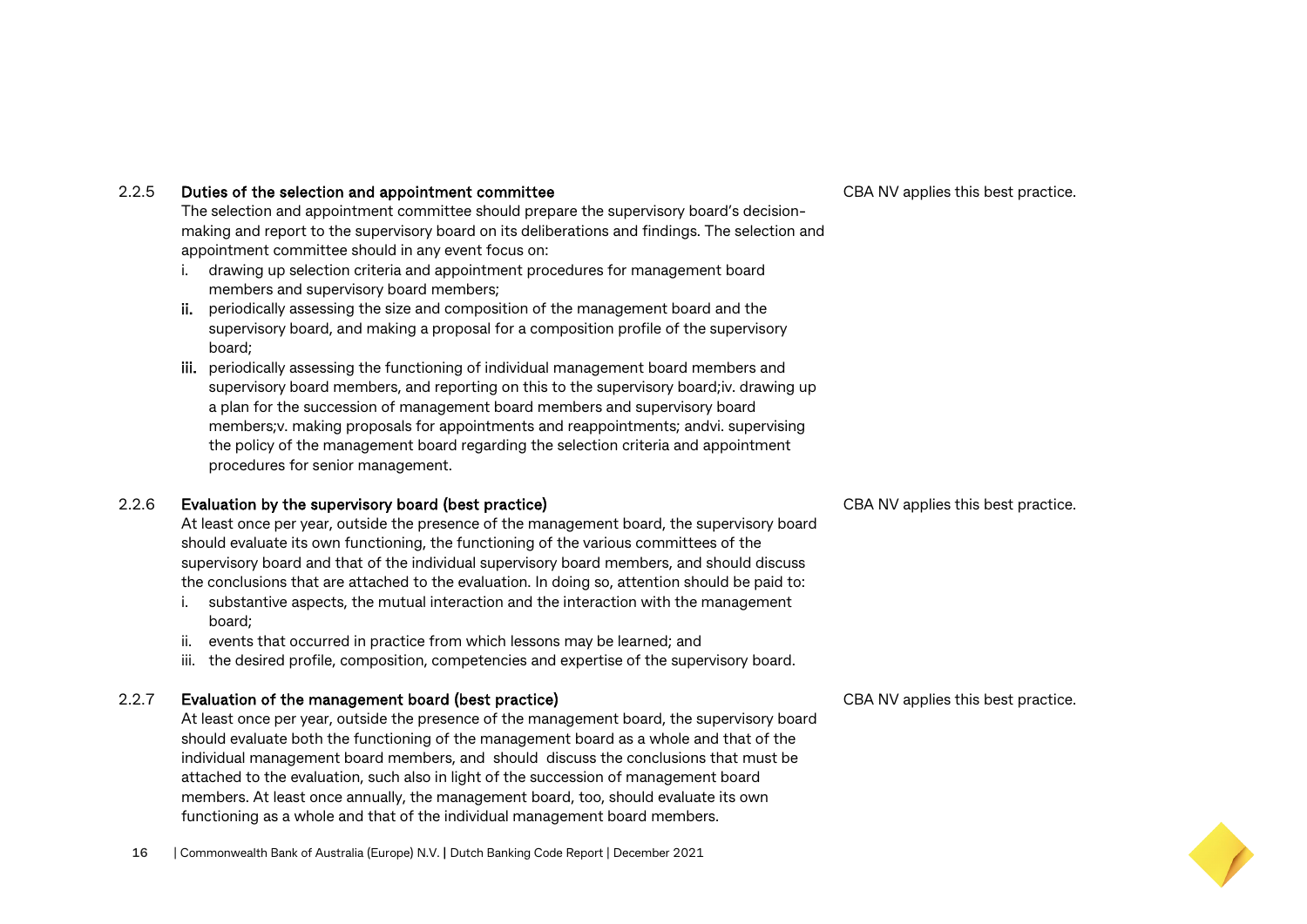#### 2.2.5 Duties of the selection and appointment committee

The selection and appointment committee should prepare the supervisory board's decisionmaking and report to the supervisory board on its deliberations and findings. The selection and appointment committee should in any event focus on:

- i. drawing up selection criteria and appointment procedures for management board members and supervisory board members;
- ii. periodically assessing the size and composition of the management board and the supervisory board, and making a proposal for a composition profile of the supervisory board;
- iii. periodically assessing the functioning of individual management board members and supervisory board members, and reporting on this to the supervisory board;iv. drawing up a plan for the succession of management board members and supervisory board members;v. making proposals for appointments and reappointments; andvi. supervising the policy of the management board regarding the selection criteria and appointment procedures for senior management.

#### 2.2.6 Evaluation by the supervisory board (best practice)

At least once per year, outside the presence of the management board, the supervisory board should evaluate its own functioning, the functioning of the various committees of the supervisory board and that of the individual supervisory board members, and should discuss the conclusions that are attached to the evaluation. In doing so, attention should be paid to:

- i. substantive aspects, the mutual interaction and the interaction with the management board;
- ii. events that occurred in practice from which lessons may be learned; and
- iii. the desired profile, composition, competencies and expertise of the supervisory board.

#### 2.2.7 Evaluation of the management board (best practice)

At least once per year, outside the presence of the management board, the supervisory board should evaluate both the functioning of the management board as a whole and that of the individual management board members, and should discuss the conclusions that must be attached to the evaluation, such also in light of the succession of management board members. At least once annually, the management board, too, should evaluate its own functioning as a whole and that of the individual management board members.

CBA NV applies this best practice.

CBA NV applies this best practice.

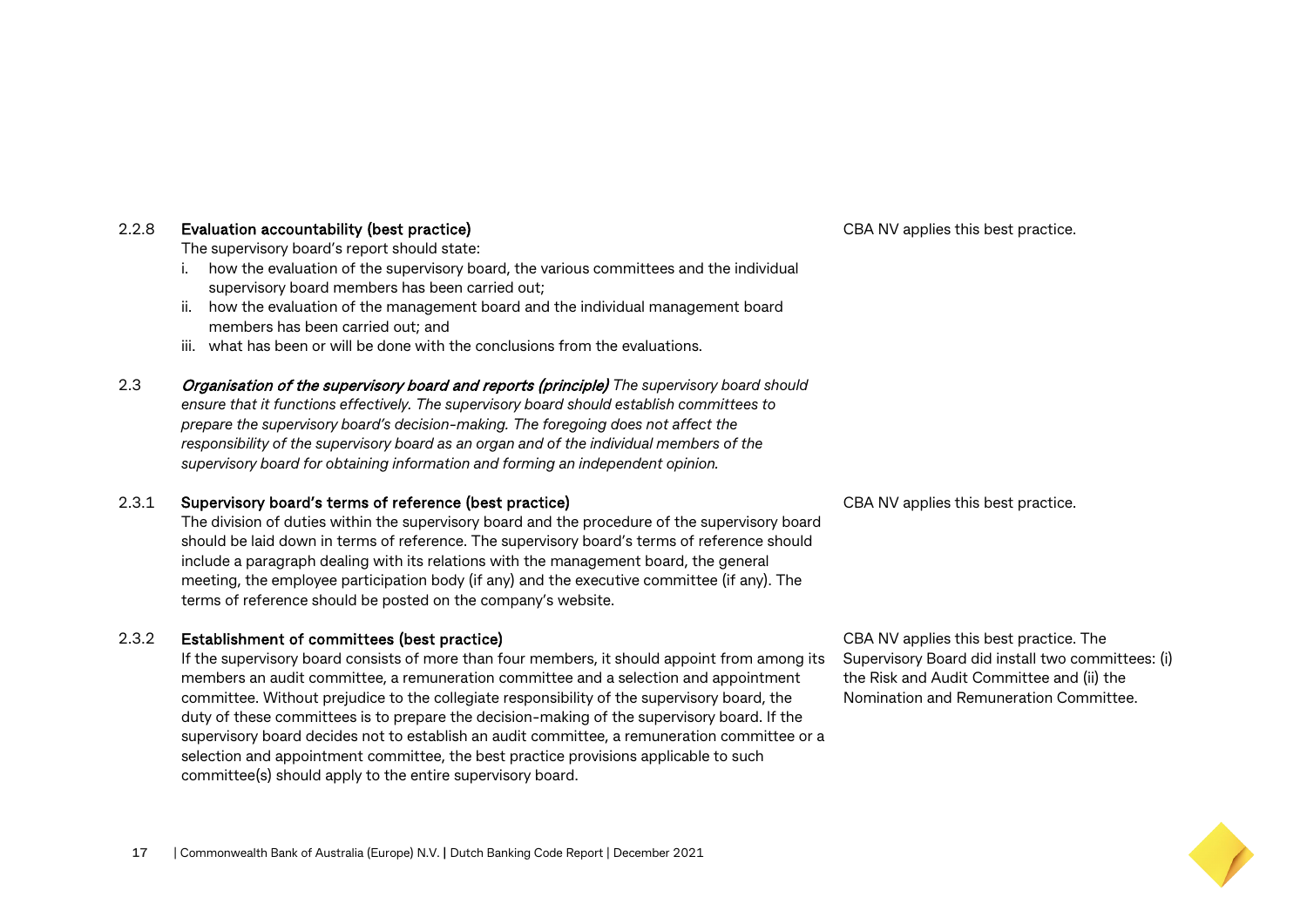#### 2.2.8 Evaluation accountability (best practice)

The supervisory board's report should state:

- i. how the evaluation of the supervisory board, the various committees and the individual supervisory board members has been carried out;
- ii. how the evaluation of the management board and the individual management board members has been carried out; and
- iii. what has been or will be done with the conclusions from the evaluations.
- 2.3 Organisation of the supervisory board and reports (principle) *The supervisory board should ensure that it functions effectively. The supervisory board should establish committees to prepare the supervisory board's decision-making. The foregoing does not affect the responsibility of the supervisory board as an organ and of the individual members of the supervisory board for obtaining information and forming an independent opinion.*

#### 2.3.1 Supervisory board's terms of reference (best practice)

The division of duties within the supervisory board and the procedure of the supervisory board should be laid down in terms of reference. The supervisory board's terms of reference should include a paragraph dealing with its relations with the management board, the general meeting, the employee participation body (if any) and the executive committee (if any). The terms of reference should be posted on the company's website.

#### 2.3.2 Establishment of committees (best practice)

If the supervisory board consists of more than four members, it should appoint from among its members an audit committee, a remuneration committee and a selection and appointment committee. Without prejudice to the collegiate responsibility of the supervisory board, the duty of these committees is to prepare the decision-making of the supervisory board. If the supervisory board decides not to establish an audit committee, a remuneration committee or a selection and appointment committee, the best practice provisions applicable to such committee(s) should apply to the entire supervisory board.

CBA NV applies this best practice.

CBA NV applies this best practice.

CBA NV applies this best practice. The Supervisory Board did install two committees: (i) the Risk and Audit Committee and (ii) the Nomination and Remuneration Committee.

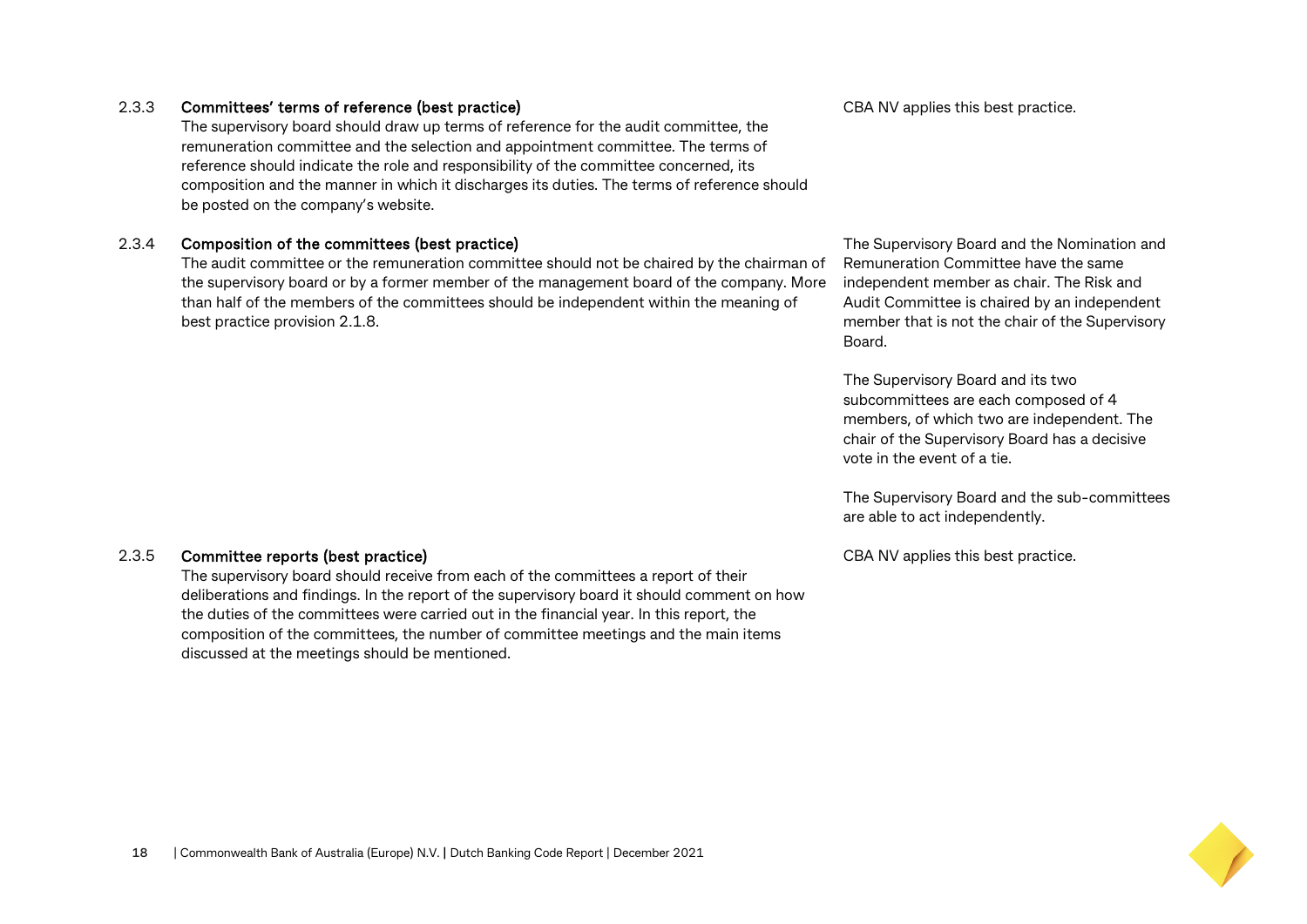#### 2.3.3 Committees' terms of reference (best practice)

The supervisory board should draw up terms of reference for the audit committee, the remuneration committee and the selection and appointment committee. The terms of reference should indicate the role and responsibility of the committee concerned, its composition and the manner in which it discharges its duties. The terms of reference should be posted on the company's website.

#### 2.3.4 Composition of the committees (best practice)

The audit committee or the remuneration committee should not be chaired by the chairman of the supervisory board or by a former member of the management board of the company. More than half of the members of the committees should be independent within the meaning of best practice provision 2.1.8.

#### CBA NV applies this best practice.

The Supervisory Board and the Nomination and Remuneration Committee have the same independent member as chair. The Risk and Audit Committee is chaired by an independent member that is not the chair of the Supervisory Board.

The Supervisory Board and its two subcommittees are each composed of 4 members, of which two are independent. The chair of the Supervisory Board has a decisive vote in the event of a tie.

The Supervisory Board and the sub-committees are able to act independently.

CBA NV applies this best practice.

#### 2.3.5 Committee reports (best practice)

The supervisory board should receive from each of the committees a report of their deliberations and findings. In the report of the supervisory board it should comment on how the duties of the committees were carried out in the financial year. In this report, the composition of the committees, the number of committee meetings and the main items discussed at the meetings should be mentioned.

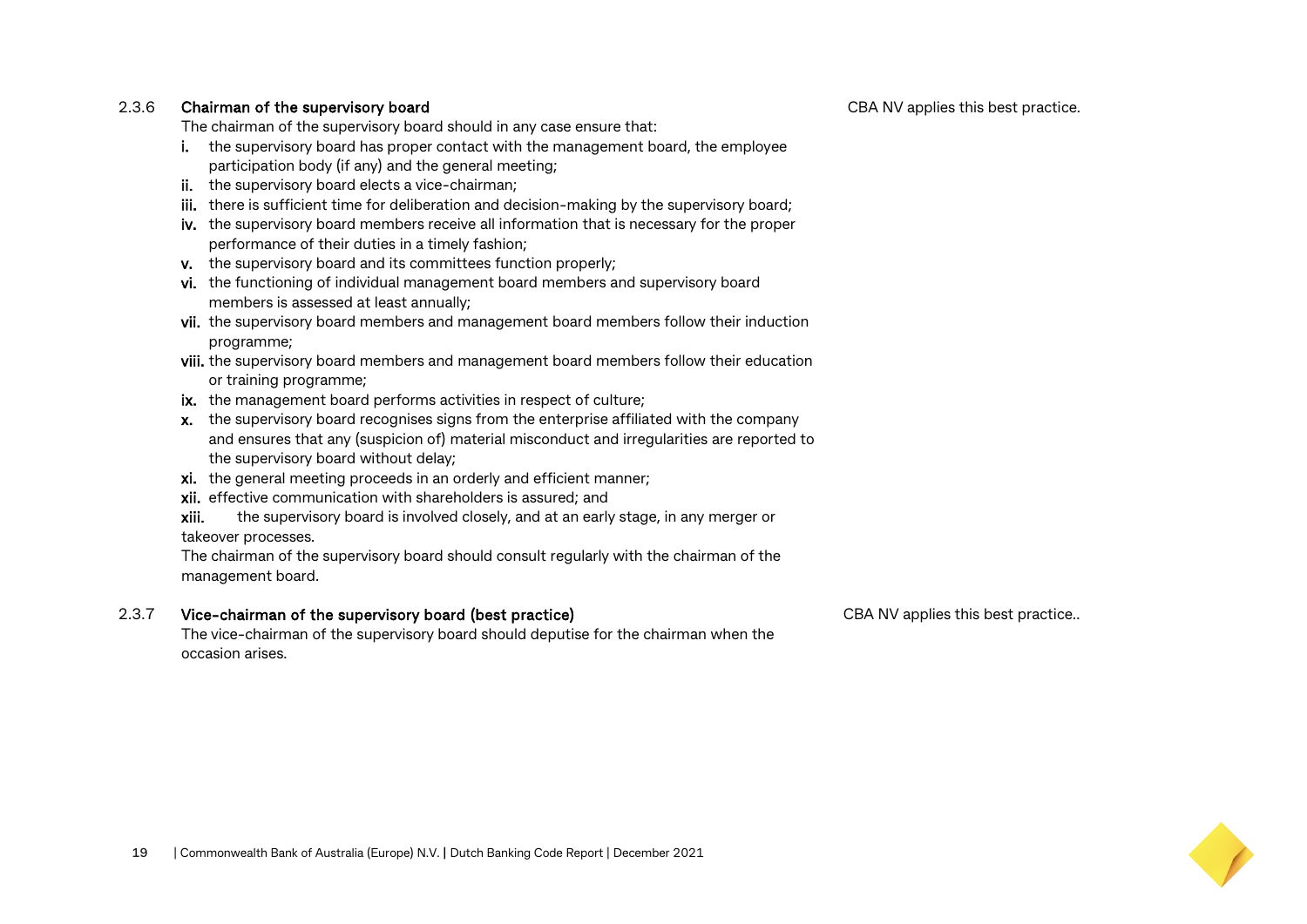CBA NV applies this best practice.

#### 2.3.6 Chairman of the supervisory board

The chairman of the supervisory board should in any case ensure that:

- i. the supervisory board has proper contact with the management board, the employee participation body (if any) and the general meeting;
- ii. the supervisory board elects a vice-chairman;
- iii. there is sufficient time for deliberation and decision-making by the supervisory board;
- iv. the supervisory board members receive all information that is necessary for the proper performance of their duties in a timely fashion;
- v. the supervisory board and its committees function properly;
- vi. the functioning of individual management board members and supervisory board members is assessed at least annually;
- vii. the supervisory board members and management board members follow their induction programme;
- viii. the supervisory board members and management board members follow their education or training programme;
- ix. the management board performs activities in respect of culture;
- x. the supervisory board recognises signs from the enterprise affiliated with the company and ensures that any (suspicion of) material misconduct and irregularities are reported to the supervisory board without delay;
- xi. the general meeting proceeds in an orderly and efficient manner;
- xii. effective communication with shareholders is assured; and
- xiii. the supervisory board is involved closely, and at an early stage, in any merger or

takeover processes.

The chairman of the supervisory board should consult regularly with the chairman of the management board.

#### 2.3.7 Vice-chairman of the supervisory board (best practice)

The vice-chairman of the supervisory board should deputise for the chairman when the occasion arises.

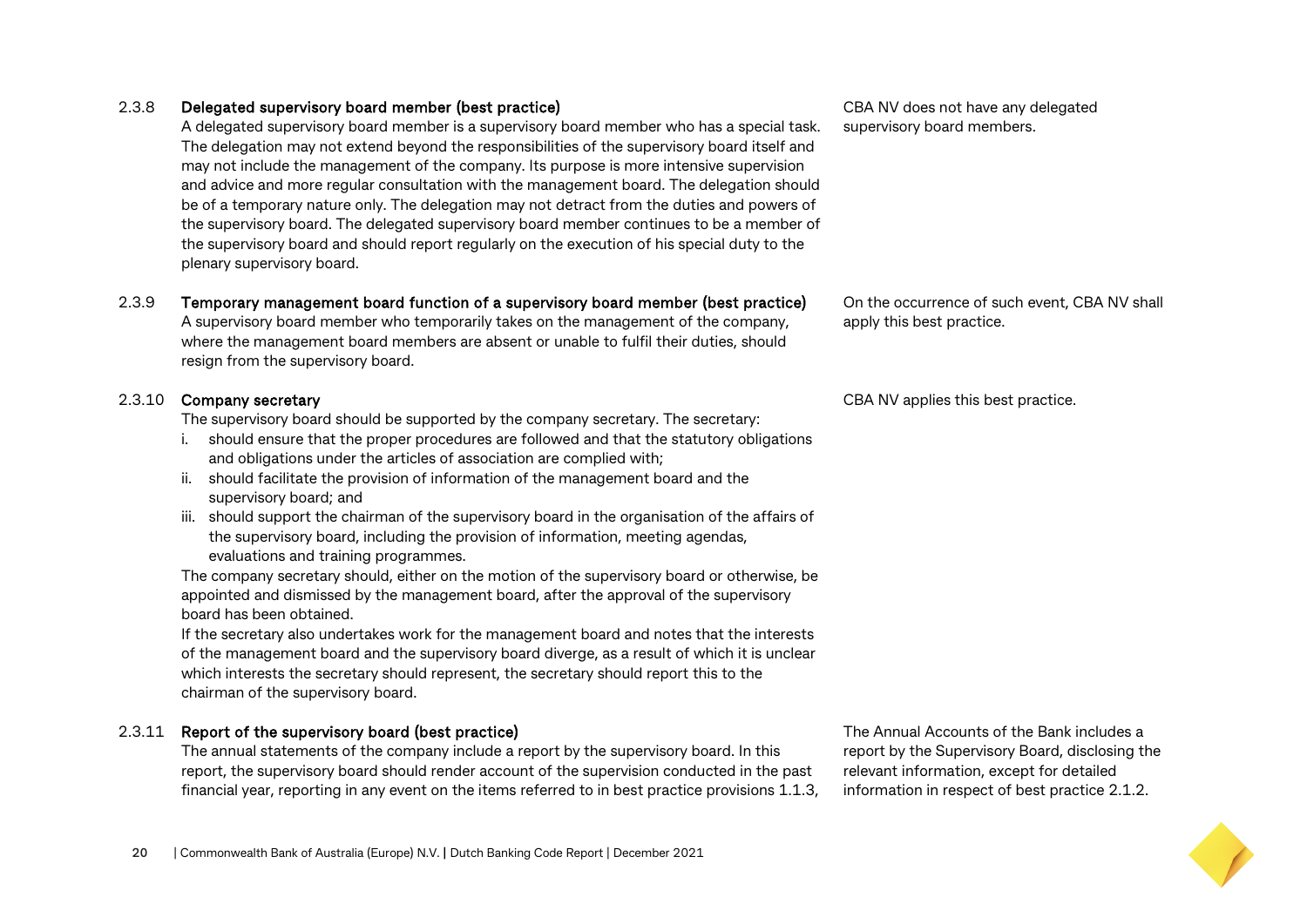#### 2.3.8 Delegated supervisory board member (best practice)

A delegated supervisory board member is a supervisory board member who has a special task. The delegation may not extend beyond the responsibilities of the supervisory board itself and may not include the management of the company. Its purpose is more intensive supervision and advice and more regular consultation with the management board. The delegation should be of a temporary nature only. The delegation may not detract from the duties and powers of the supervisory board. The delegated supervisory board member continues to be a member of the supervisory board and should report regularly on the execution of his special duty to the plenary supervisory board.

#### 2.3.9 Temporary management board function of a supervisory board member (best practice)

A supervisory board member who temporarily takes on the management of the company, where the management board members are absent or unable to fulfil their duties, should resign from the supervisory board.

#### 2.3.10 Company secretary

The supervisory board should be supported by the company secretary. The secretary:

- i. should ensure that the proper procedures are followed and that the statutory obligations and obligations under the articles of association are complied with;
- ii. should facilitate the provision of information of the management board and the supervisory board; and
- iii. should support the chairman of the supervisory board in the organisation of the affairs of the supervisory board, including the provision of information, meeting agendas, evaluations and training programmes.

The company secretary should, either on the motion of the supervisory board or otherwise, be appointed and dismissed by the management board, after the approval of the supervisory board has been obtained.

If the secretary also undertakes work for the management board and notes that the interests of the management board and the supervisory board diverge, as a result of which it is unclear which interests the secretary should represent, the secretary should report this to the chairman of the supervisory board.

#### 2.3.11 Report of the supervisory board (best practice)

The annual statements of the company include a report by the supervisory board. In this report, the supervisory board should render account of the supervision conducted in the past financial year, reporting in any event on the items referred to in best practice provisions 1.1.3,

The Annual Accounts of the Bank includes a report by the Supervisory Board, disclosing the relevant information, except for detailed information in respect of best practice 2.1.2.

CBA NV does not have any delegated supervisory board members.

On the occurrence of such event, CBA NV shall apply this best practice.

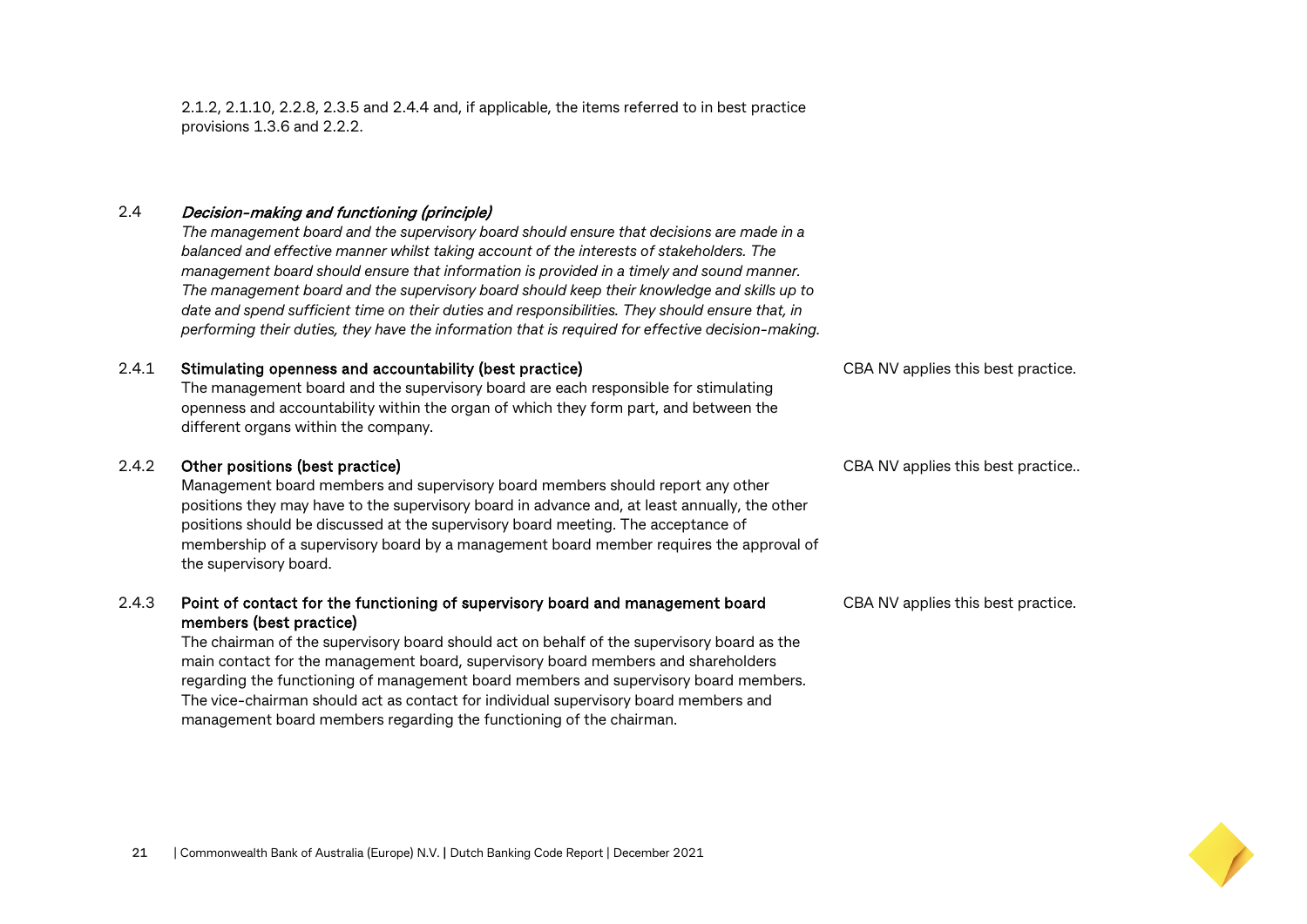2.1.2, 2.1.10, 2.2.8, 2.3.5 and 2.4.4 and, if applicable, the items referred to in best practice provisions 1.3.6 and 2.2.2.

#### 2.4 Decision-making and functioning (principle)

*The management board and the supervisory board should ensure that decisions are made in a balanced and effective manner whilst taking account of the interests of stakeholders. The management board should ensure that information is provided in a timely and sound manner. The management board and the supervisory board should keep their knowledge and skills up to date and spend sufficient time on their duties and responsibilities. They should ensure that, in performing their duties, they have the information that is required for effective decision-making.*

#### 2.4.1 Stimulating openness and accountability (best practice)

The management board and the supervisory board are each responsible for stimulating openness and accountability within the organ of which they form part, and between the different organs within the company.

#### 2.4.2 Other positions (best practice)

Management board members and supervisory board members should report any other positions they may have to the supervisory board in advance and, at least annually, the other positions should be discussed at the supervisory board meeting. The acceptance of membership of a supervisory board by a management board member requires the approval of the supervisory board.

#### 2.4.3 Point of contact for the functioning of supervisory board and management board members (best practice)

The chairman of the supervisory board should act on behalf of the supervisory board as the main contact for the management board, supervisory board members and shareholders regarding the functioning of management board members and supervisory board members. The vice-chairman should act as contact for individual supervisory board members and management board members regarding the functioning of the chairman.

CBA NV applies this best practice.

CBA NV applies this best practice..

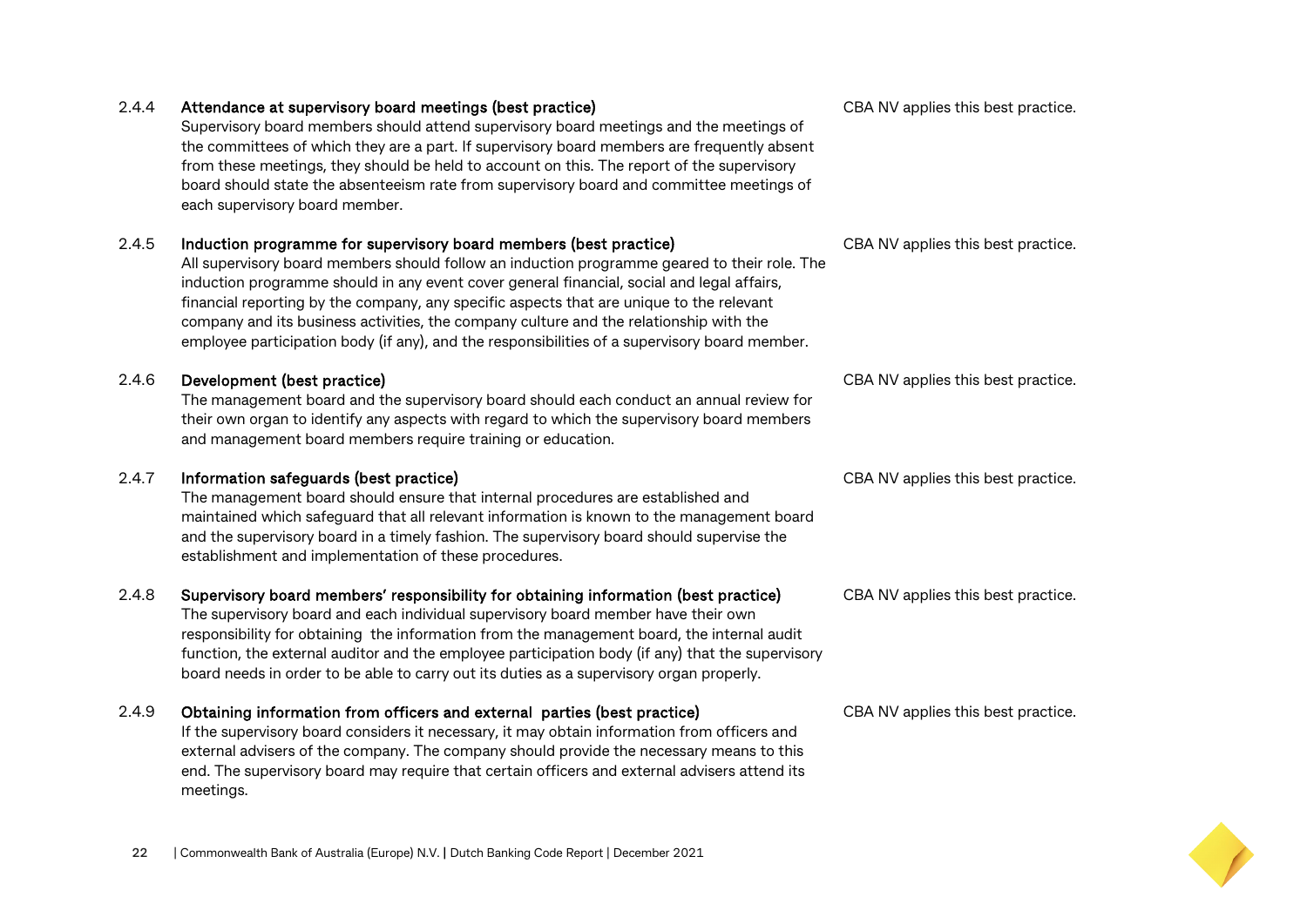### Supervisory board members should attend supervisory board meetings and the meetings of the committees of which they are a part. If supervisory board members are frequently absent from these meetings, they should be held to account on this. The report of the supervisory board should state the absenteeism rate from supervisory board and committee meetings of each supervisory board member. 2.4.5 Induction programme for supervisory board members (best practice) All supervisory board members should follow an induction programme geared to their role. The

2.4.4 Attendance at supervisory board meetings (best practice)

induction programme should in any event cover general financial, social and legal affairs, financial reporting by the company, any specific aspects that are unique to the relevant company and its business activities, the company culture and the relationship with the employee participation body (if any), and the responsibilities of a supervisory board member.

#### 2.4.6 Development (best practice)

The management board and the supervisory board should each conduct an annual review for their own organ to identify any aspects with regard to which the supervisory board members and management board members require training or education.

#### 2.4.7 Information safeguards (best practice)

The management board should ensure that internal procedures are established and maintained which safeguard that all relevant information is known to the management board and the supervisory board in a timely fashion. The supervisory board should supervise the establishment and implementation of these procedures.

#### 2.4.8 Supervisory board members' responsibility for obtaining information (best practice)

The supervisory board and each individual supervisory board member have their own responsibility for obtaining the information from the management board, the internal audit function, the external auditor and the employee participation body (if any) that the supervisory board needs in order to be able to carry out its duties as a supervisory organ properly.

#### 2.4.9 Obtaining information from officers and external parties (best practice)

If the supervisory board considers it necessary, it may obtain information from officers and external advisers of the company. The company should provide the necessary means to this end. The supervisory board may require that certain officers and external advisers attend its meetings.

CBA NV applies this best practice.

CBA NV applies this best practice.

CBA NV applies this best practice.

CBA NV applies this best practice.

CBA NV applies this best practice.

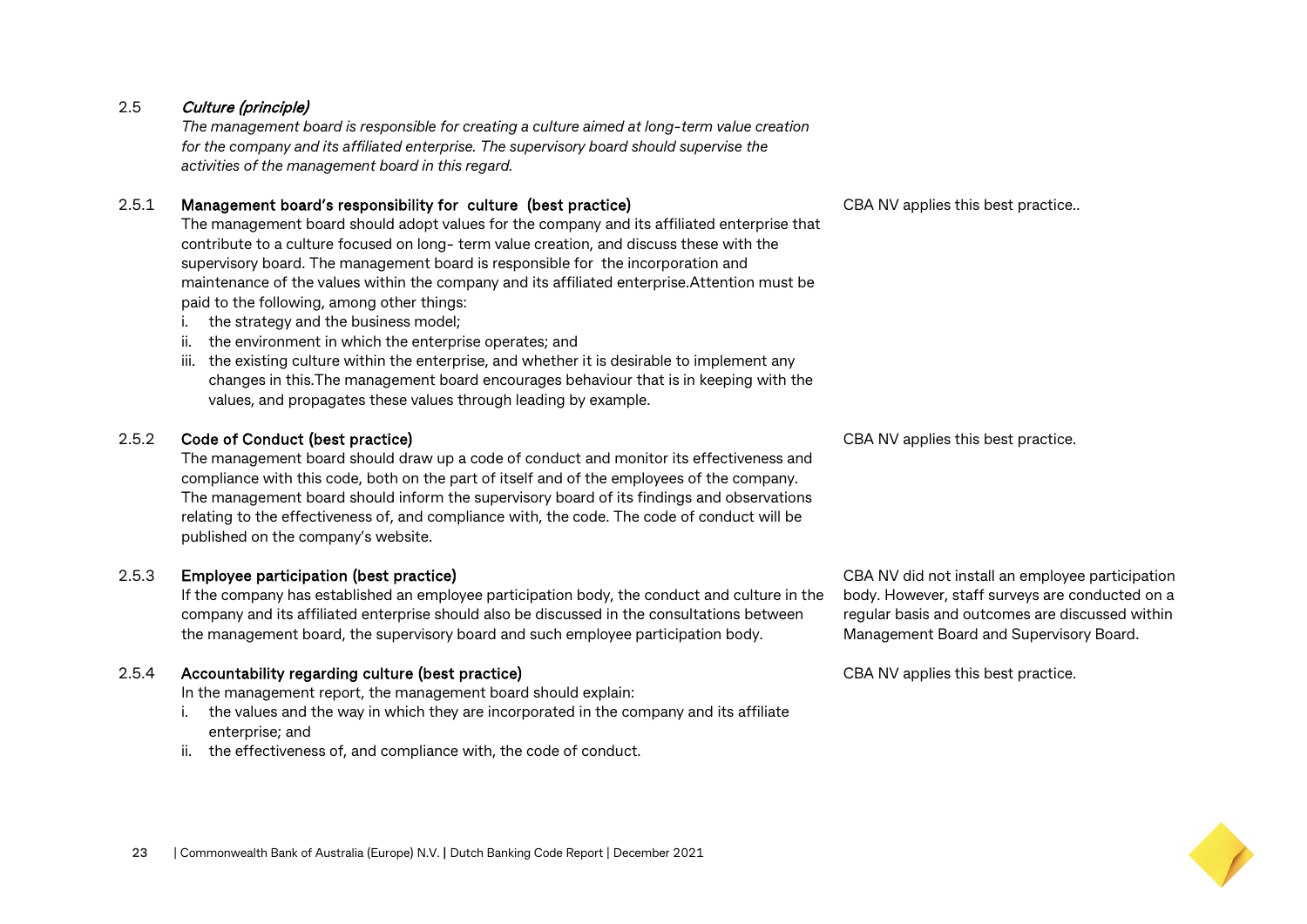#### 2.5 Culture (principle)

*The management board is responsible for creating a culture aimed at long-term value creation for the company and its affiliated enterprise. The supervisory board should supervise the activities of the management board in this regard.*

#### 2.5.1 Management board's responsibility for culture (best practice)

The management board should adopt values for the company and its affiliated enterprise that contribute to a culture focused on long- term value creation, and discuss these with the supervisory board. The management board is responsible for the incorporation and maintenance of the values within the company and its affiliated enterprise.Attention must be paid to the following, among other things:

- i. the strategy and the business model;
- ii. the environment in which the enterprise operates; and
- iii. the existing culture within the enterprise, and whether it is desirable to implement any changes in this.The management board encourages behaviour that is in keeping with the values, and propagates these values through leading by example.

#### 2.5.2 Code of Conduct (best practice)

The management board should draw up a code of conduct and monitor its effectiveness and compliance with this code, both on the part of itself and of the employees of the company. The management board should inform the supervisory board of its findings and observations relating to the effectiveness of, and compliance with, the code. The code of conduct will be published on the company's website.

#### 2.5.3 Employee participation (best practice)

If the company has established an employee participation body, the conduct and culture in the company and its affiliated enterprise should also be discussed in the consultations between the management board, the supervisory board and such employee participation body.

#### 2.5.4 Accountability regarding culture (best practice)

In the management report, the management board should explain:

- i. the values and the way in which they are incorporated in the company and its affiliate enterprise; and
- ii. the effectiveness of, and compliance with, the code of conduct.

CBA NV applies this best practice..

CBA NV applies this best practice.

CBA NV did not install an employee participation body. However, staff surveys are conducted on a regular basis and outcomes are discussed within Management Board and Supervisory Board.

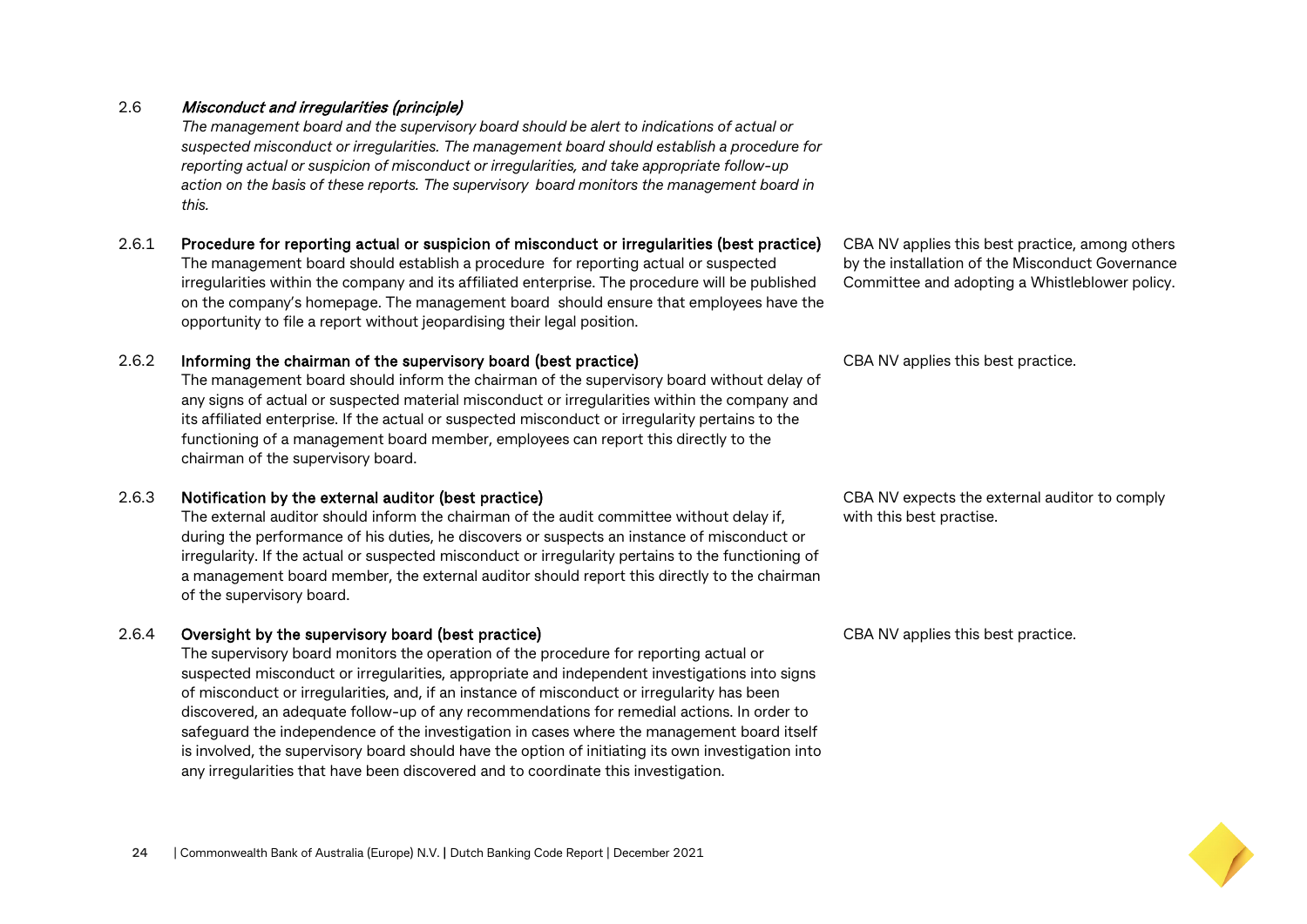#### 2.6 Misconduct and irregularities (principle)

*The management board and the supervisory board should be alert to indications of actual or suspected misconduct or irregularities. The management board should establish a procedure for reporting actual or suspicion of misconduct or irregularities, and take appropriate follow-up action on the basis of these reports. The supervisory board monitors the management board in this.*

#### 2.6.1 Procedure for reporting actual or suspicion of misconduct or irregularities (best practice) The management board should establish a procedure for reporting actual or suspected irregularities within the company and its affiliated enterprise. The procedure will be published on the company's homepage. The management board should ensure that employees have the opportunity to file a report without jeopardising their legal position.

#### 2.6.2 Informing the chairman of the supervisory board (best practice)

The management board should inform the chairman of the supervisory board without delay of any signs of actual or suspected material misconduct or irregularities within the company and its affiliated enterprise. If the actual or suspected misconduct or irregularity pertains to the functioning of a management board member, employees can report this directly to the chairman of the supervisory board.

#### 2.6.3 Notification by the external auditor (best practice)

The external auditor should inform the chairman of the audit committee without delay if, during the performance of his duties, he discovers or suspects an instance of misconduct or irregularity. If the actual or suspected misconduct or irregularity pertains to the functioning of a management board member, the external auditor should report this directly to the chairman of the supervisory board.

#### 2.6.4 Oversight by the supervisory board (best practice)

The supervisory board monitors the operation of the procedure for reporting actual or suspected misconduct or irregularities, appropriate and independent investigations into signs of misconduct or irregularities, and, if an instance of misconduct or irregularity has been discovered, an adequate follow-up of any recommendations for remedial actions. In order to safeguard the independence of the investigation in cases where the management board itself is involved, the supervisory board should have the option of initiating its own investigation into any irregularities that have been discovered and to coordinate this investigation.

CBA NV applies this best practice, among others by the installation of the Misconduct Governance Committee and adopting a Whistleblower policy.

CBA NV applies this best practice.

CBA NV expects the external auditor to comply with this best practise.

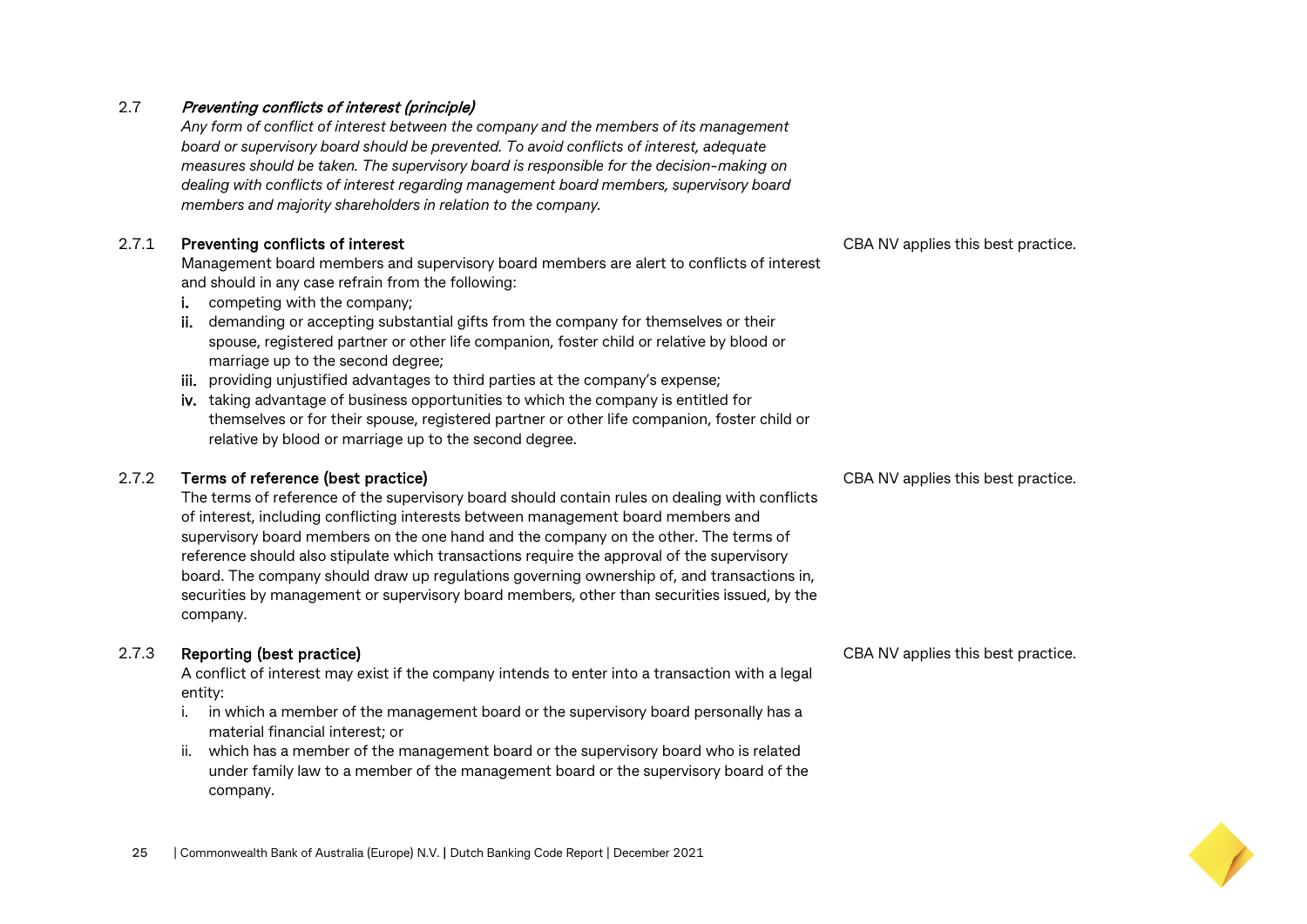#### 2.7 Preventing conflicts of interest (principle)

*Any form of conflict of interest between the company and the members of its management board or supervisory board should be prevented. To avoid conflicts of interest, adequate measures should be taken. The supervisory board is responsible for the decision-making on dealing with conflicts of interest regarding management board members, supervisory board members and majority shareholders in relation to the company.*

#### 2.7.1 Preventing conflicts of interest

Management board members and supervisory board members are alert to conflicts of interest and should in any case refrain from the following:

- i. competing with the company;
- ii. demanding or accepting substantial gifts from the company for themselves or their spouse, registered partner or other life companion, foster child or relative by blood or marriage up to the second degree;
- iii. providing unjustified advantages to third parties at the company's expense;
- iv. taking advantage of business opportunities to which the company is entitled for themselves or for their spouse, registered partner or other life companion, foster child or relative by blood or marriage up to the second degree.

#### 2.7.2 Terms of reference (best practice)

The terms of reference of the supervisory board should contain rules on dealing with conflicts of interest, including conflicting interests between management board members and supervisory board members on the one hand and the company on the other. The terms of reference should also stipulate which transactions require the approval of the supervisory board. The company should draw up regulations governing ownership of, and transactions in, securities by management or supervisory board members, other than securities issued, by the company.

#### 2.7.3 Reporting (best practice)

A conflict of interest may exist if the company intends to enter into a transaction with a legal entity:

- i. in which a member of the management board or the supervisory board personally has a material financial interest; or
- ii. which has a member of the management board or the supervisory board who is related under family law to a member of the management board or the supervisory board of the company.

CBA NV applies this best practice.

CBA NV applies this best practice.

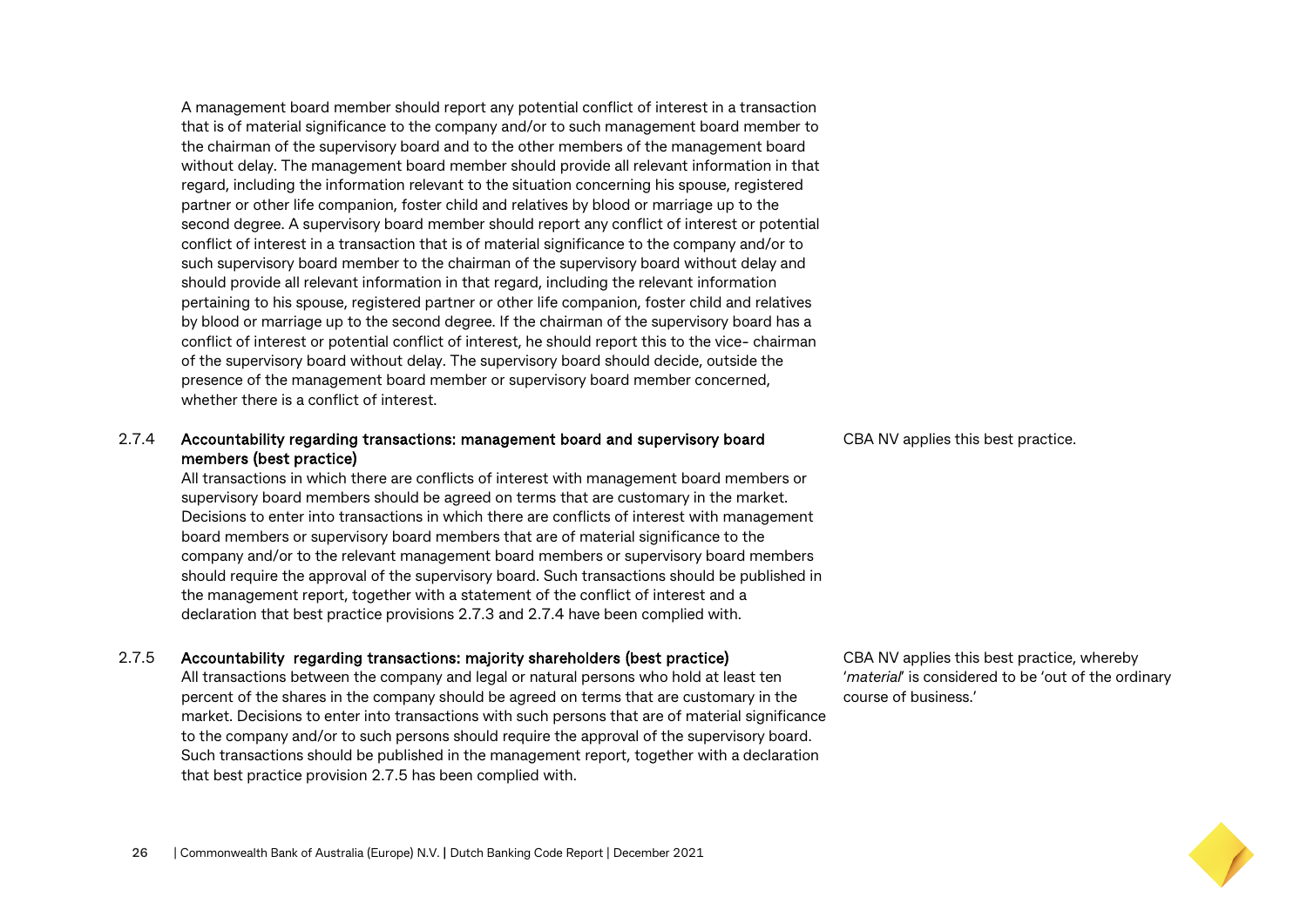A management board member should report any potential conflict of interest in a transaction that is of material significance to the company and/or to such management board member to the chairman of the supervisory board and to the other members of the management board without delay. The management board member should provide all relevant information in that regard, including the information relevant to the situation concerning his spouse, registered partner or other life companion, foster child and relatives by blood or marriage up to the second degree. A supervisory board member should report any conflict of interest or potential conflict of interest in a transaction that is of material significance to the company and/or to such supervisory board member to the chairman of the supervisory board without delay and should provide all relevant information in that regard, including the relevant information pertaining to his spouse, registered partner or other life companion, foster child and relatives by blood or marriage up to the second degree. If the chairman of the supervisory board has a conflict of interest or potential conflict of interest, he should report this to the vice- chairman of the supervisory board without delay. The supervisory board should decide, outside the presence of the management board member or supervisory board member concerned, whether there is a conflict of interest.

#### 2.7.4 Accountability regarding transactions: management board and supervisory board members (best practice)

All transactions in which there are conflicts of interest with management board members or supervisory board members should be agreed on terms that are customary in the market. Decisions to enter into transactions in which there are conflicts of interest with management board members or supervisory board members that are of material significance to the company and/or to the relevant management board members or supervisory board members should require the approval of the supervisory board. Such transactions should be published in the management report, together with a statement of the conflict of interest and a declaration that best practice provisions 2.7.3 and 2.7.4 have been complied with.

#### 2.7.5 Accountability regarding transactions: majority shareholders (best practice)

All transactions between the company and legal or natural persons who hold at least ten percent of the shares in the company should be agreed on terms that are customary in the market. Decisions to enter into transactions with such persons that are of material significance to the company and/or to such persons should require the approval of the supervisory board. Such transactions should be published in the management report, together with a declaration that best practice provision 2.7.5 has been complied with.

CBA NV applies this best practice.

CBA NV applies this best practice, whereby '*material*' is considered to be 'out of the ordinary course of business.'

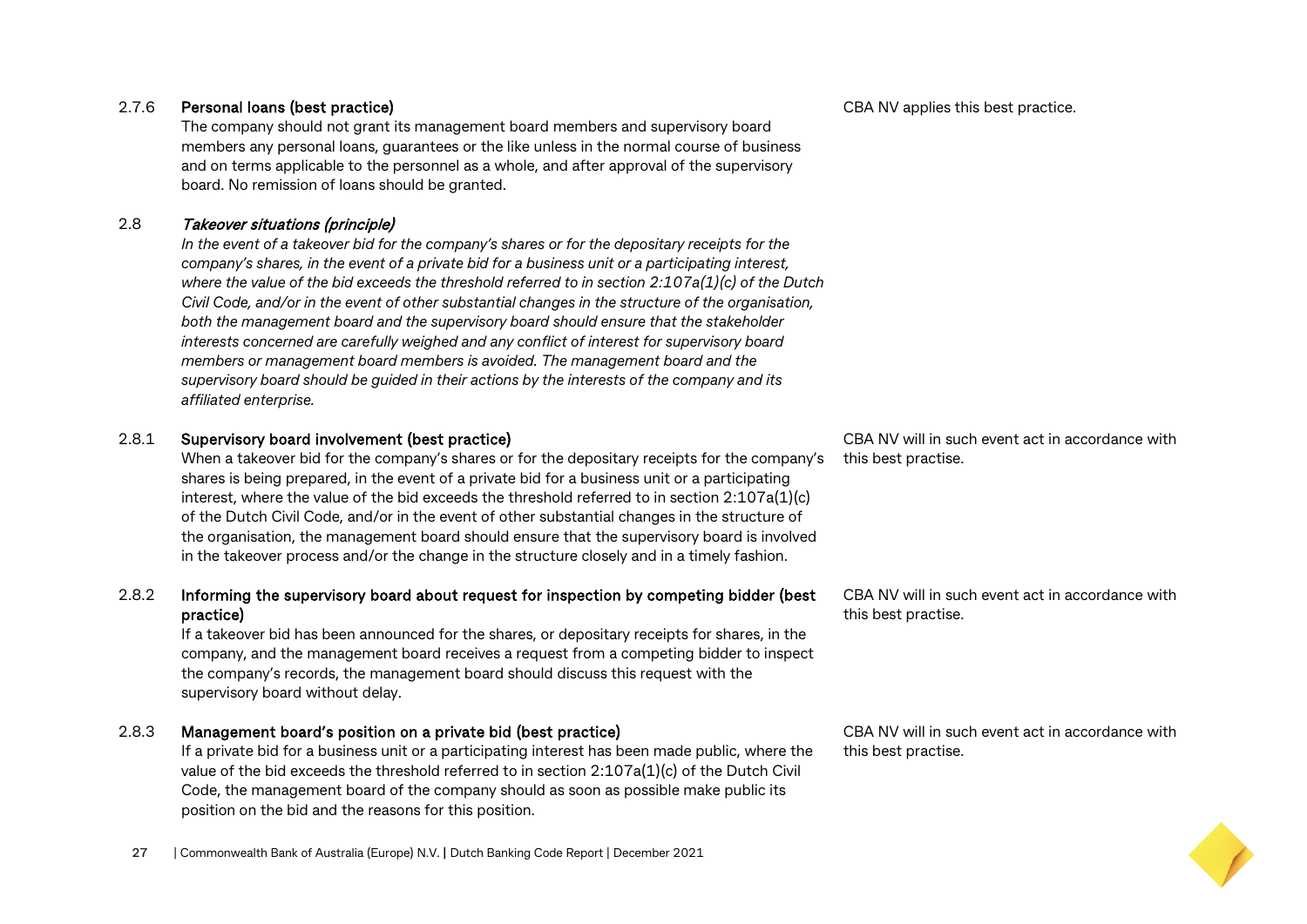#### **27** | Commonwealth Bank of Australia (Europe) N.V. **|** Dutch Banking Code Report | December 2021

#### 2.7.6 Personal loans (best practice)

The company should not grant its management board members and supervisory board members any personal loans, guarantees or the like unless in the normal course of business and on terms applicable to the personnel as a whole, and after approval of the supervisory board. No remission of loans should be granted.

#### 2.8 Takeover situations (principle)

*In the event of a takeover bid for the company's shares or for the depositary receipts for the company's shares, in the event of a private bid for a business unit or a participating interest, where the value of the bid exceeds the threshold referred to in section 2:107a(1)(c) of the Dutch Civil Code, and/or in the event of other substantial changes in the structure of the organisation, both the management board and the supervisory board should ensure that the stakeholder interests concerned are carefully weighed and any conflict of interest for supervisory board members or management board members is avoided. The management board and the supervisory board should be guided in their actions by the interests of the company and its affiliated enterprise.*

#### 2.8.1 Supervisory board involvement (best practice)

When a takeover bid for the company's shares or for the depositary receipts for the company's shares is being prepared, in the event of a private bid for a business unit or a participating interest, where the value of the bid exceeds the threshold referred to in section 2:107a(1)(c) of the Dutch Civil Code, and/or in the event of other substantial changes in the structure of the organisation, the management board should ensure that the supervisory board is involved in the takeover process and/or the change in the structure closely and in a timely fashion.

#### 2.8.2 Informing the supervisory board about request for inspection by competing bidder (best practice)

If a takeover bid has been announced for the shares, or depositary receipts for shares, in the company, and the management board receives a request from a competing bidder to inspect the company's records, the management board should discuss this request with the supervisory board without delay.

#### 2.8.3 Management board's position on a private bid (best practice)

If a private bid for a business unit or a participating interest has been made public, where the value of the bid exceeds the threshold referred to in section 2:107a(1)(c) of the Dutch Civil Code, the management board of the company should as soon as possible make public its position on the bid and the reasons for this position.

CBA NV will in such event act in accordance with this best practise.

CBA NV will in such event act in accordance with this best practise.

CBA NV will in such event act in accordance with

this best practise.

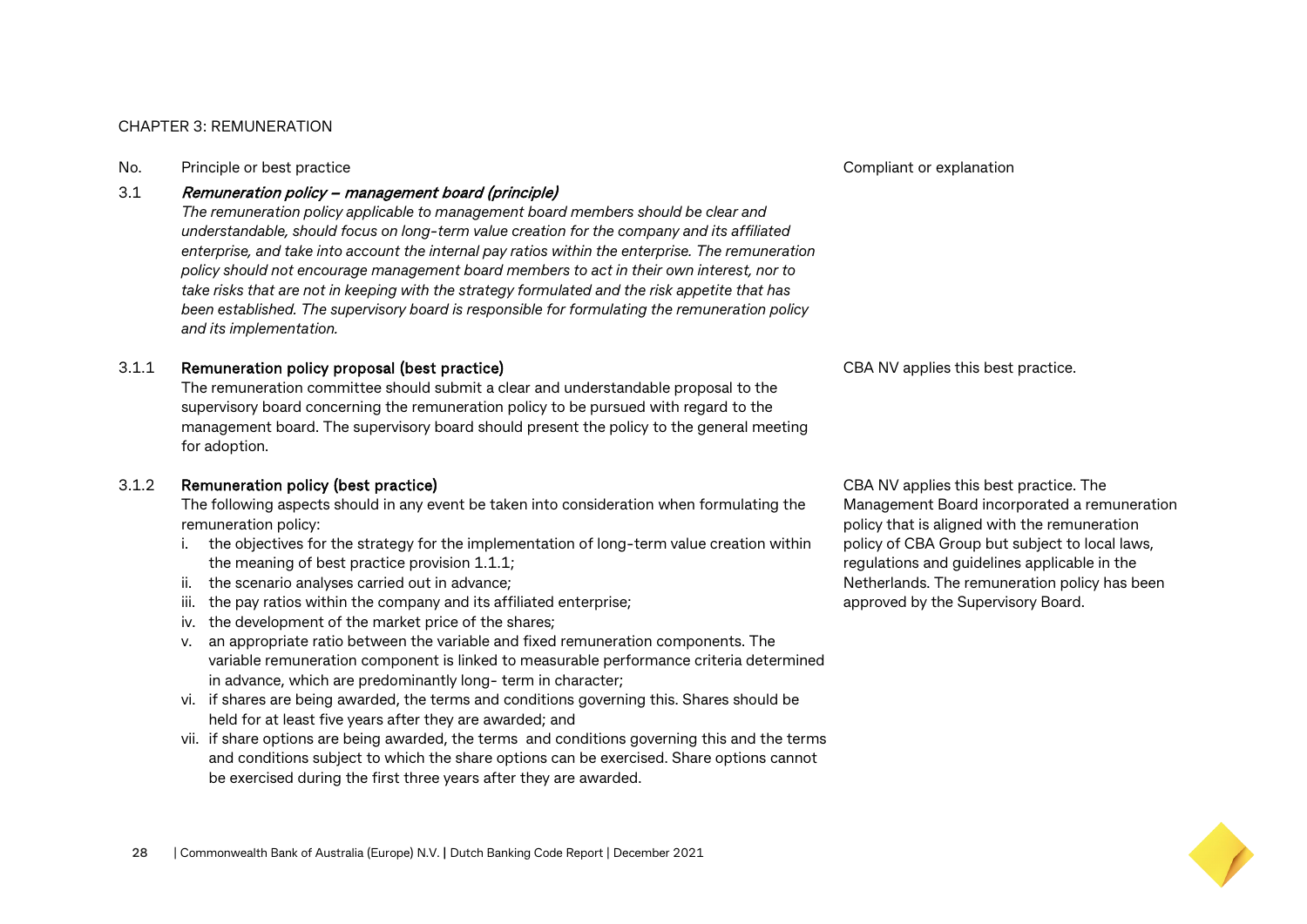#### CHAPTER 3: REMUNERATION

No. Principle or best practice Compliant or explanation

#### 3.1 Remuneration policy – management board (principle)

*The remuneration policy applicable to management board members should be clear and understandable, should focus on long-term value creation for the company and its affiliated enterprise, and take into account the internal pay ratios within the enterprise. The remuneration policy should not encourage management board members to act in their own interest, nor to take risks that are not in keeping with the strategy formulated and the risk appetite that has been established. The supervisory board is responsible for formulating the remuneration policy and its implementation.*

#### 3.1.1 Remuneration policy proposal (best practice)

The remuneration committee should submit a clear and understandable proposal to the supervisory board concerning the remuneration policy to be pursued with regard to the management board. The supervisory board should present the policy to the general meeting for adoption.

#### 3.1.2 Remuneration policy (best practice)

The following aspects should in any event be taken into consideration when formulating the remuneration policy:

- i. the objectives for the strategy for the implementation of long-term value creation within the meaning of best practice provision 1.1.1;
- ii. the scenario analyses carried out in advance;
- iii. the pay ratios within the company and its affiliated enterprise;
- iv. the development of the market price of the shares;
- v. an appropriate ratio between the variable and fixed remuneration components. The variable remuneration component is linked to measurable performance criteria determined in advance, which are predominantly long- term in character;
- vi. if shares are being awarded, the terms and conditions governing this. Shares should be held for at least five years after they are awarded; and
- vii. if share options are being awarded, the terms and conditions governing this and the terms and conditions subject to which the share options can be exercised. Share options cannot be exercised during the first three years after they are awarded.

CBA NV applies this best practice.

CBA NV applies this best practice. The Management Board incorporated a remuneration policy that is aligned with the remuneration policy of CBA Group but subject to local laws, regulations and guidelines applicable in the Netherlands. The remuneration policy has been approved by the Supervisory Board.

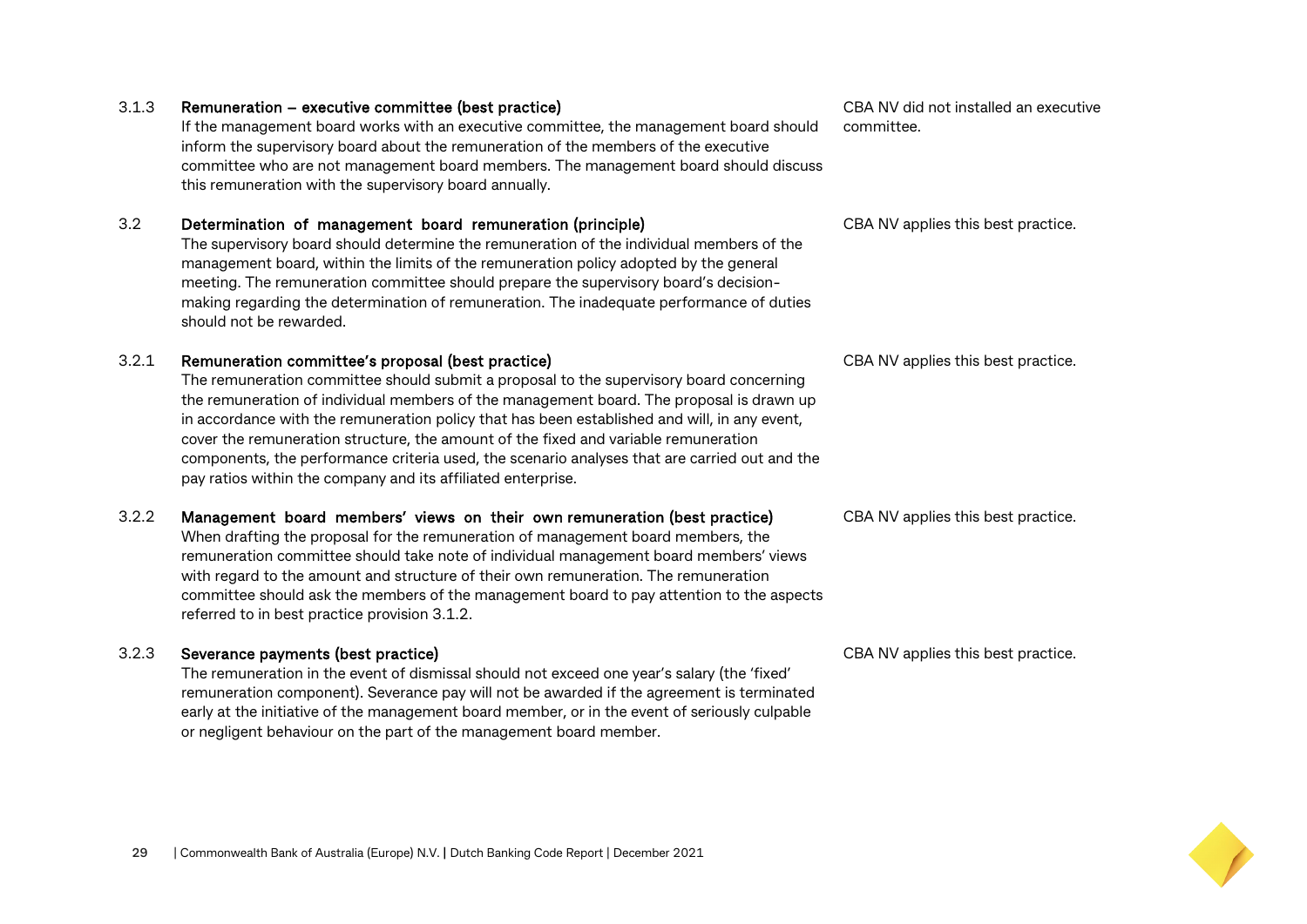#### 3.1.3 Remuneration – executive committee (best practice)

If the management board works with an executive committee, the management board should inform the supervisory board about the remuneration of the members of the executive committee who are not management board members. The management board should discuss this remuneration with the supervisory board annually.

#### 3.2 Determination of management board remuneration (principle)

The supervisory board should determine the remuneration of the individual members of the management board, within the limits of the remuneration policy adopted by the general meeting. The remuneration committee should prepare the supervisory board's decisionmaking regarding the determination of remuneration. The inadequate performance of duties should not be rewarded.

#### 3.2.1 Remuneration committee's proposal (best practice)

The remuneration committee should submit a proposal to the supervisory board concerning the remuneration of individual members of the management board. The proposal is drawn up in accordance with the remuneration policy that has been established and will, in any event, cover the remuneration structure, the amount of the fixed and variable remuneration components, the performance criteria used, the scenario analyses that are carried out and the pay ratios within the company and its affiliated enterprise.

#### 3.2.2 Management board members' views on their own remuneration (best practice)

When drafting the proposal for the remuneration of management board members, the remuneration committee should take note of individual management board members' views with regard to the amount and structure of their own remuneration. The remuneration committee should ask the members of the management board to pay attention to the aspects referred to in best practice provision 3.1.2.

#### 3.2.3 Severance payments (best practice)

The remuneration in the event of dismissal should not exceed one year's salary (the 'fixed' remuneration component). Severance pay will not be awarded if the agreement is terminated early at the initiative of the management board member, or in the event of seriously culpable or negligent behaviour on the part of the management board member.

CBA NV did not installed an executive committee.

CBA NV applies this best practice.

CBA NV applies this best practice.

CBA NV applies this best practice.

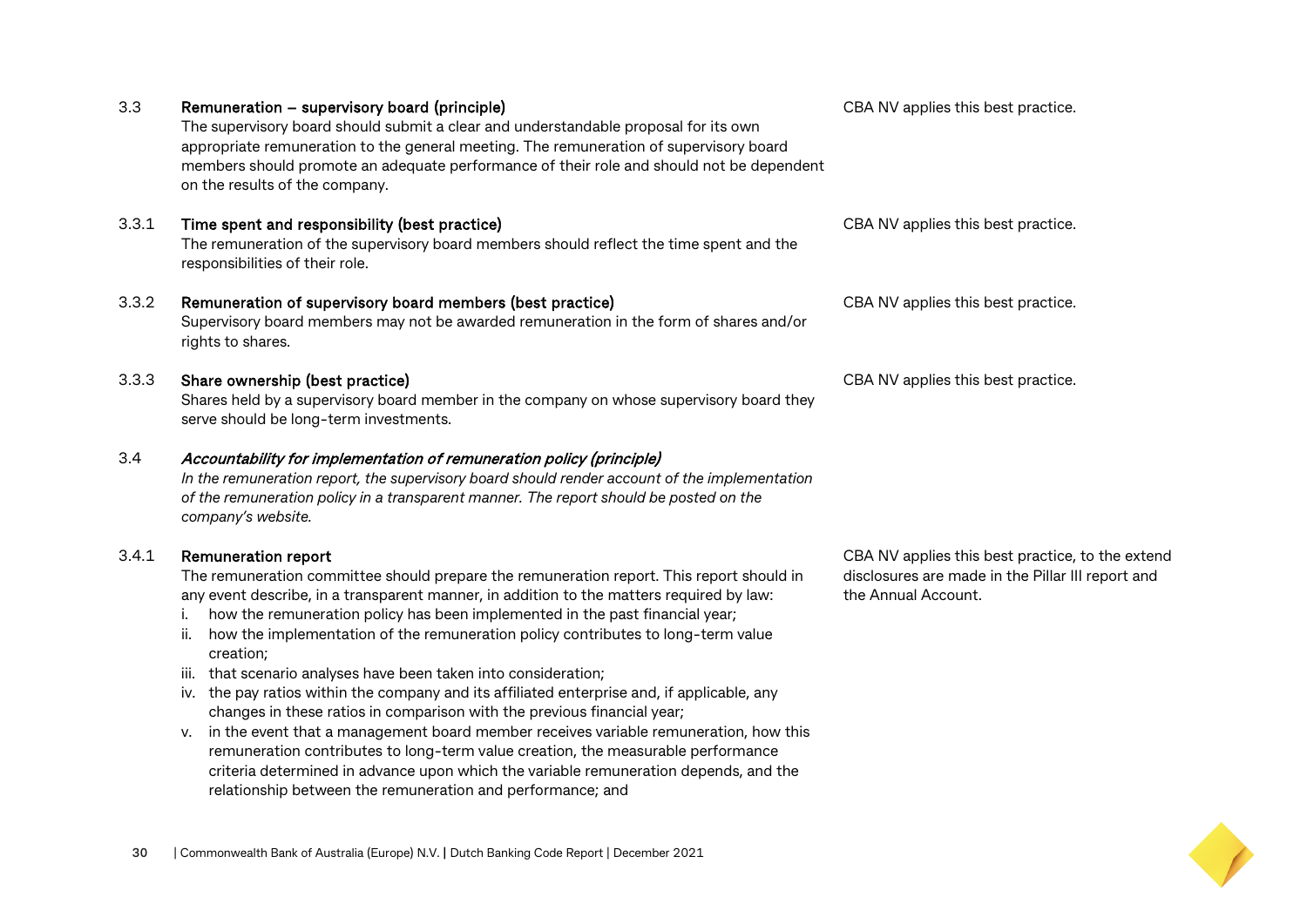| 3.3   | Remuneration – supervisory board (principle)<br>The supervisory board should submit a clear and understandable proposal for its own<br>appropriate remuneration to the general meeting. The remuneration of supervisory board<br>members should promote an adequate performance of their role and should not be dependent<br>on the results of the company.                                                                                                                                                                                                                                                                                                                                                                                                                                                                                                                                                                                                                                        | CBA NV applies this best practice.                                                                                           |
|-------|----------------------------------------------------------------------------------------------------------------------------------------------------------------------------------------------------------------------------------------------------------------------------------------------------------------------------------------------------------------------------------------------------------------------------------------------------------------------------------------------------------------------------------------------------------------------------------------------------------------------------------------------------------------------------------------------------------------------------------------------------------------------------------------------------------------------------------------------------------------------------------------------------------------------------------------------------------------------------------------------------|------------------------------------------------------------------------------------------------------------------------------|
| 3.3.1 | Time spent and responsibility (best practice)<br>The remuneration of the supervisory board members should reflect the time spent and the<br>responsibilities of their role.                                                                                                                                                                                                                                                                                                                                                                                                                                                                                                                                                                                                                                                                                                                                                                                                                        | CBA NV applies this best practice.                                                                                           |
| 3.3.2 | Remuneration of supervisory board members (best practice)<br>Supervisory board members may not be awarded remuneration in the form of shares and/or<br>rights to shares.                                                                                                                                                                                                                                                                                                                                                                                                                                                                                                                                                                                                                                                                                                                                                                                                                           | CBA NV applies this best practice.                                                                                           |
| 3.3.3 | Share ownership (best practice)<br>Shares held by a supervisory board member in the company on whose supervisory board they<br>serve should be long-term investments.                                                                                                                                                                                                                                                                                                                                                                                                                                                                                                                                                                                                                                                                                                                                                                                                                              | CBA NV applies this best practice.                                                                                           |
| 3.4   | Accountability for implementation of remuneration policy (principle)<br>In the remuneration report, the supervisory board should render account of the implementation<br>of the remuneration policy in a transparent manner. The report should be posted on the<br>company's website.                                                                                                                                                                                                                                                                                                                                                                                                                                                                                                                                                                                                                                                                                                              |                                                                                                                              |
| 3.4.1 | <b>Remuneration report</b><br>The remuneration committee should prepare the remuneration report. This report should in<br>any event describe, in a transparent manner, in addition to the matters required by law:<br>how the remuneration policy has been implemented in the past financial year;<br>Ι.<br>how the implementation of the remuneration policy contributes to long-term value<br>ii.<br>creation;<br>iii. that scenario analyses have been taken into consideration;<br>iv. the pay ratios within the company and its affiliated enterprise and, if applicable, any<br>changes in these ratios in comparison with the previous financial year;<br>v. in the event that a management board member receives variable remuneration, how this<br>remuneration contributes to long-term value creation, the measurable performance<br>criteria determined in advance upon which the variable remuneration depends, and the<br>relationship between the remuneration and performance; and | CBA NV applies this best practice, to the extend<br>disclosures are made in the Pillar III report and<br>the Annual Account. |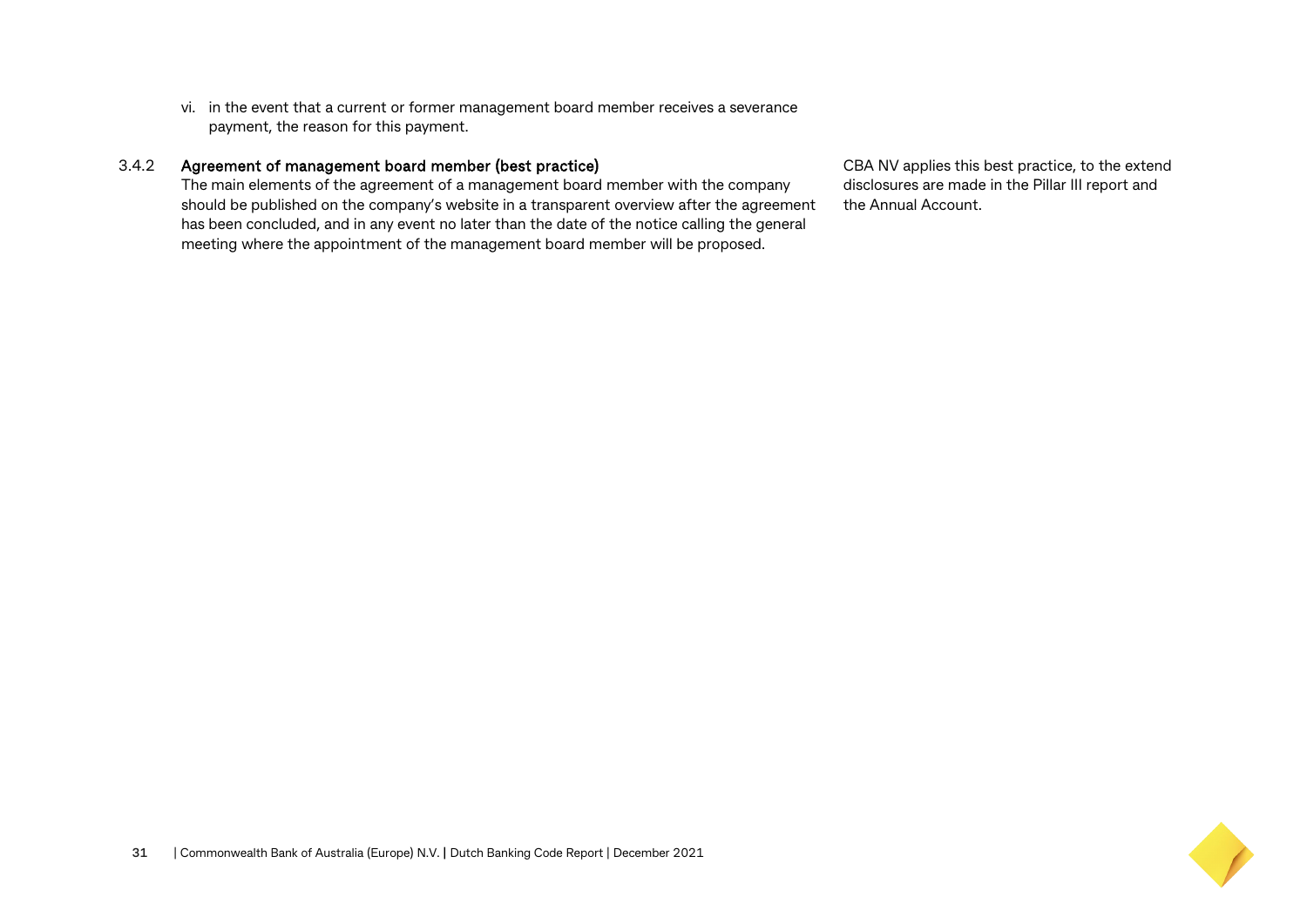vi. in the event that a current or former management board member receives a severance payment, the reason for this payment.

#### 3.4.2 Agreement of management board member (best practice)

The main elements of the agreement of a management board member with the company should be published on the company's website in a transparent overview after the agreement has been concluded, and in any event no later than the date of the notice calling the general meeting where the appointment of the management board member will be proposed.

CBA NV applies this best practice, to the extend disclosures are made in the Pillar III report and the Annual Account.

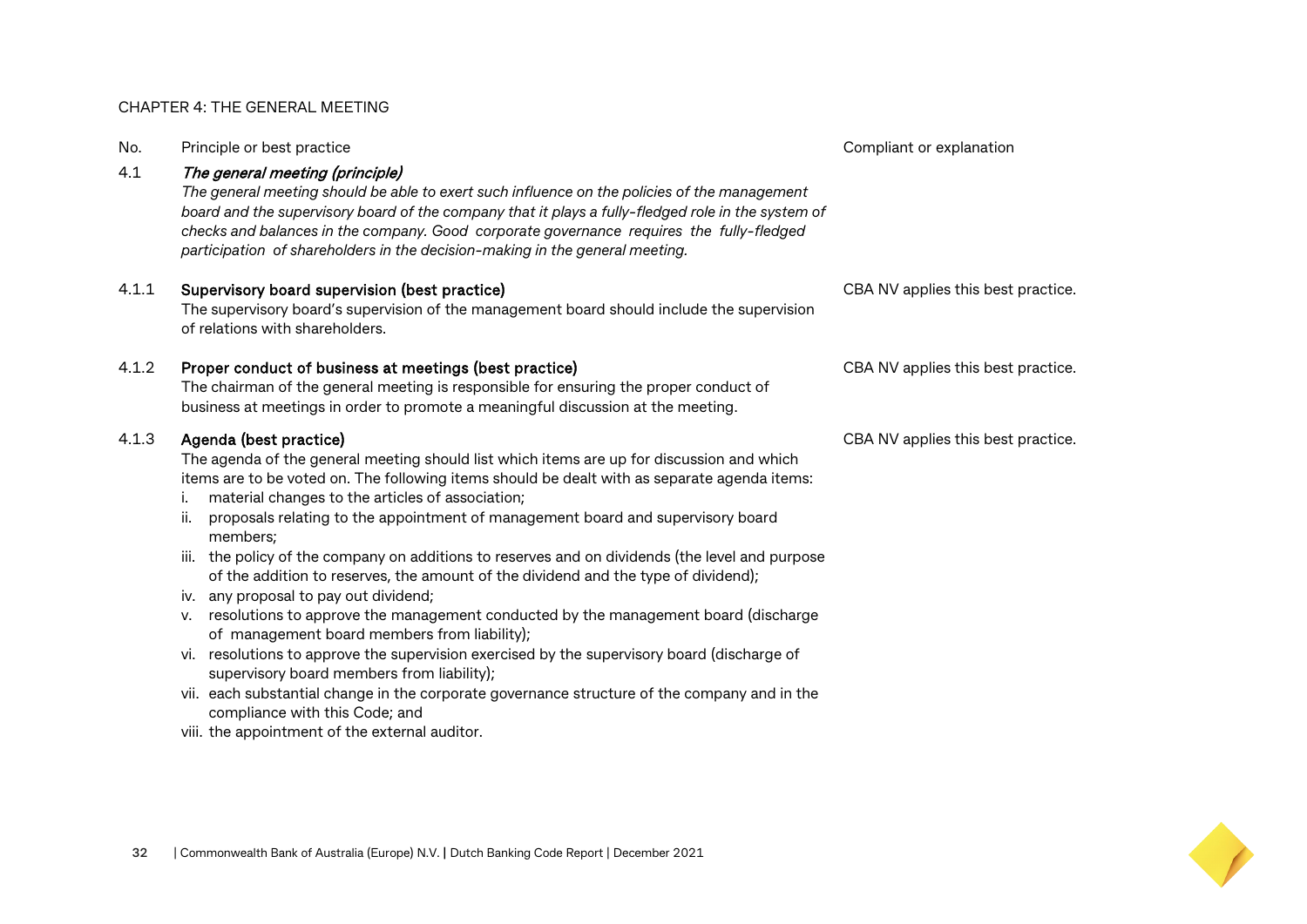#### CHAPTER 4: THE GENERAL MEETING

| No.   | Principle or best practice                                                                                                                                                                                                                                                                                                                                                                                                                                                                                                                                                                                                                                                                                                                                                                                                                                                                                                                                                                                                                                                                      | Compliant or explanation           |
|-------|-------------------------------------------------------------------------------------------------------------------------------------------------------------------------------------------------------------------------------------------------------------------------------------------------------------------------------------------------------------------------------------------------------------------------------------------------------------------------------------------------------------------------------------------------------------------------------------------------------------------------------------------------------------------------------------------------------------------------------------------------------------------------------------------------------------------------------------------------------------------------------------------------------------------------------------------------------------------------------------------------------------------------------------------------------------------------------------------------|------------------------------------|
| 4.1   | The general meeting (principle)<br>The general meeting should be able to exert such influence on the policies of the management<br>board and the supervisory board of the company that it plays a fully-fledged role in the system of<br>checks and balances in the company. Good corporate governance requires the fully-fledged<br>participation of shareholders in the decision-making in the general meeting.                                                                                                                                                                                                                                                                                                                                                                                                                                                                                                                                                                                                                                                                               |                                    |
| 4.1.1 | Supervisory board supervision (best practice)<br>The supervisory board's supervision of the management board should include the supervision<br>of relations with shareholders.                                                                                                                                                                                                                                                                                                                                                                                                                                                                                                                                                                                                                                                                                                                                                                                                                                                                                                                  | CBA NV applies this best practice. |
| 4.1.2 | Proper conduct of business at meetings (best practice)<br>The chairman of the general meeting is responsible for ensuring the proper conduct of<br>business at meetings in order to promote a meaningful discussion at the meeting.                                                                                                                                                                                                                                                                                                                                                                                                                                                                                                                                                                                                                                                                                                                                                                                                                                                             | CBA NV applies this best practice. |
| 4.1.3 | Agenda (best practice)<br>The agenda of the general meeting should list which items are up for discussion and which<br>items are to be voted on. The following items should be dealt with as separate agenda items:<br>material changes to the articles of association;<br>i.<br>proposals relating to the appointment of management board and supervisory board<br>ii.<br>members;<br>iii. the policy of the company on additions to reserves and on dividends (the level and purpose<br>of the addition to reserves, the amount of the dividend and the type of dividend);<br>iv. any proposal to pay out dividend;<br>v. resolutions to approve the management conducted by the management board (discharge<br>of management board members from liability);<br>vi. resolutions to approve the supervision exercised by the supervisory board (discharge of<br>supervisory board members from liability);<br>vii. each substantial change in the corporate governance structure of the company and in the<br>compliance with this Code; and<br>viii. the appointment of the external auditor. | CBA NV applies this best practice. |

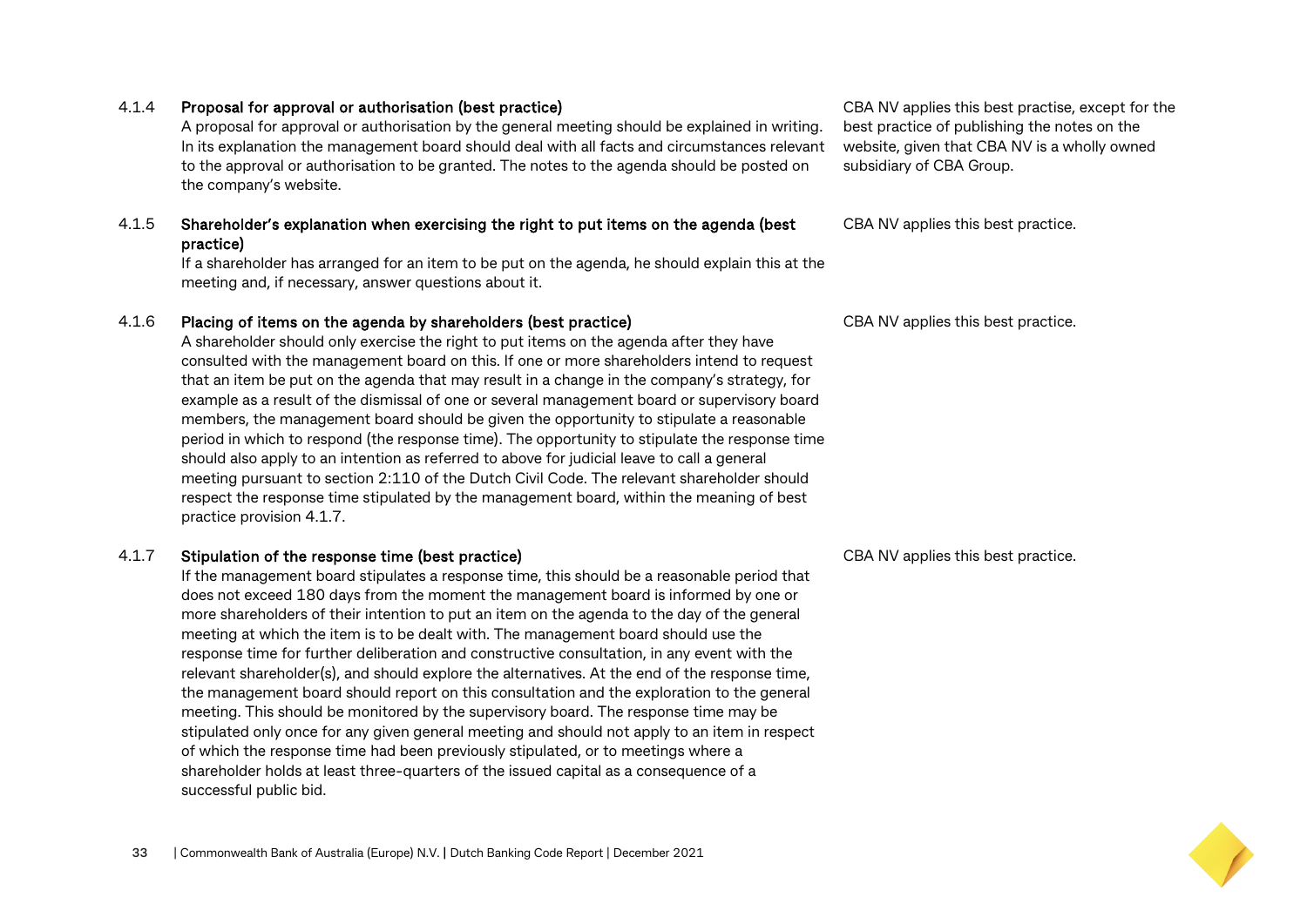#### 4.1.4 Proposal for approval or authorisation (best practice)

A proposal for approval or authorisation by the general meeting should be explained in writing. In its explanation the management board should deal with all facts and circumstances relevant to the approval or authorisation to be granted. The notes to the agenda should be posted on the company's website.

#### 4.1.5 Shareholder's explanation when exercising the right to put items on the agenda (best practice)

If a shareholder has arranged for an item to be put on the agenda, he should explain this at the meeting and, if necessary, answer questions about it.

#### 4.1.6 Placing of items on the agenda by shareholders (best practice)

A shareholder should only exercise the right to put items on the agenda after they have consulted with the management board on this. If one or more shareholders intend to request that an item be put on the agenda that may result in a change in the company's strategy, for example as a result of the dismissal of one or several management board or supervisory board members, the management board should be given the opportunity to stipulate a reasonable period in which to respond (the response time). The opportunity to stipulate the response time should also apply to an intention as referred to above for judicial leave to call a general meeting pursuant to section 2:110 of the Dutch Civil Code. The relevant shareholder should respect the response time stipulated by the management board, within the meaning of best practice provision 4.1.7.

#### 4.1.7 Stipulation of the response time (best practice)

If the management board stipulates a response time, this should be a reasonable period that does not exceed 180 days from the moment the management board is informed by one or more shareholders of their intention to put an item on the agenda to the day of the general meeting at which the item is to be dealt with. The management board should use the response time for further deliberation and constructive consultation, in any event with the relevant shareholder(s), and should explore the alternatives. At the end of the response time, the management board should report on this consultation and the exploration to the general meeting. This should be monitored by the supervisory board. The response time may be stipulated only once for any given general meeting and should not apply to an item in respect of which the response time had been previously stipulated, or to meetings where a shareholder holds at least three-quarters of the issued capital as a consequence of a successful public bid.

CBA NV applies this best practise, except for the best practice of publishing the notes on the website, given that CBA NV is a wholly owned subsidiary of CBA Group.

CBA NV applies this best practice.

CBA NV applies this best practice.

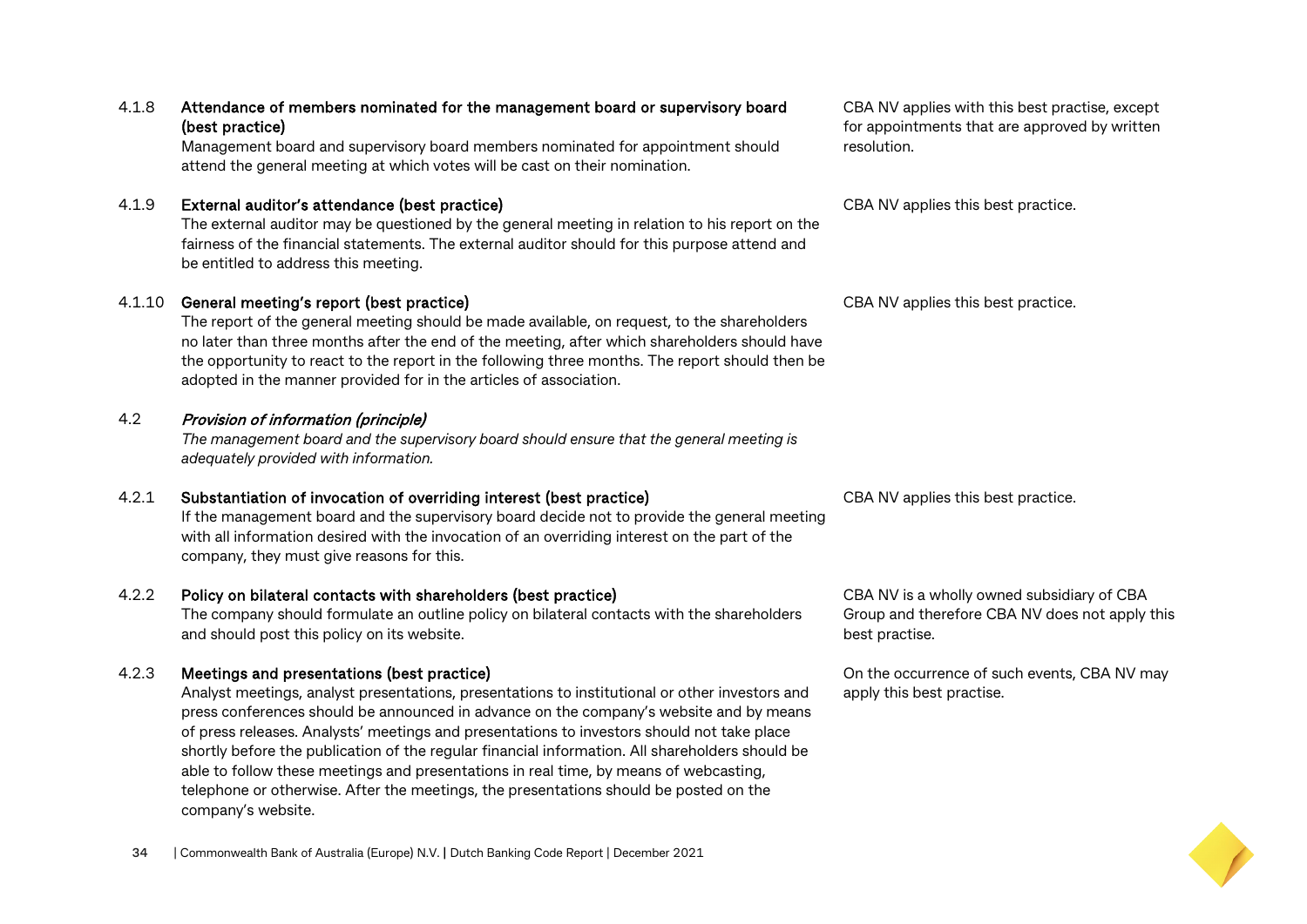#### 4.1.8 Attendance of members nominated for the management board or supervisory board (best practice)

Management board and supervisory board members nominated for appointment should attend the general meeting at which votes will be cast on their nomination.

#### 4.1.9 External auditor's attendance (best practice)

The external auditor may be questioned by the general meeting in relation to his report on the fairness of the financial statements. The external auditor should for this purpose attend and be entitled to address this meeting.

#### 4.1.10 General meeting's report (best practice)

The report of the general meeting should be made available, on request, to the shareholders no later than three months after the end of the meeting, after which shareholders should have the opportunity to react to the report in the following three months. The report should then be adopted in the manner provided for in the articles of association.

#### 4.2 Provision of information (principle)

*The management board and the supervisory board should ensure that the general meeting is adequately provided with information.*

#### 4.2.1 Substantiation of invocation of overriding interest (best practice)

If the management board and the supervisory board decide not to provide the general meeting with all information desired with the invocation of an overriding interest on the part of the company, they must give reasons for this.

#### 4.2.2 Policy on bilateral contacts with shareholders (best practice)

The company should formulate an outline policy on bilateral contacts with the shareholders and should post this policy on its website.

#### 4.2.3 Meetings and presentations (best practice)

Analyst meetings, analyst presentations, presentations to institutional or other investors and press conferences should be announced in advance on the company's website and by means of press releases. Analysts' meetings and presentations to investors should not take place shortly before the publication of the regular financial information. All shareholders should be able to follow these meetings and presentations in real time, by means of webcasting, telephone or otherwise. After the meetings, the presentations should be posted on the company's website.

CBA NV applies with this best practise, except for appointments that are approved by written resolution.

CBA NV applies this best practice.

CBA NV applies this best practice.

CBA NV applies this best practice.

CBA NV is a wholly owned subsidiary of CBA Group and therefore CBA NV does not apply this best practise.

On the occurrence of such events, CBA NV may apply this best practise.

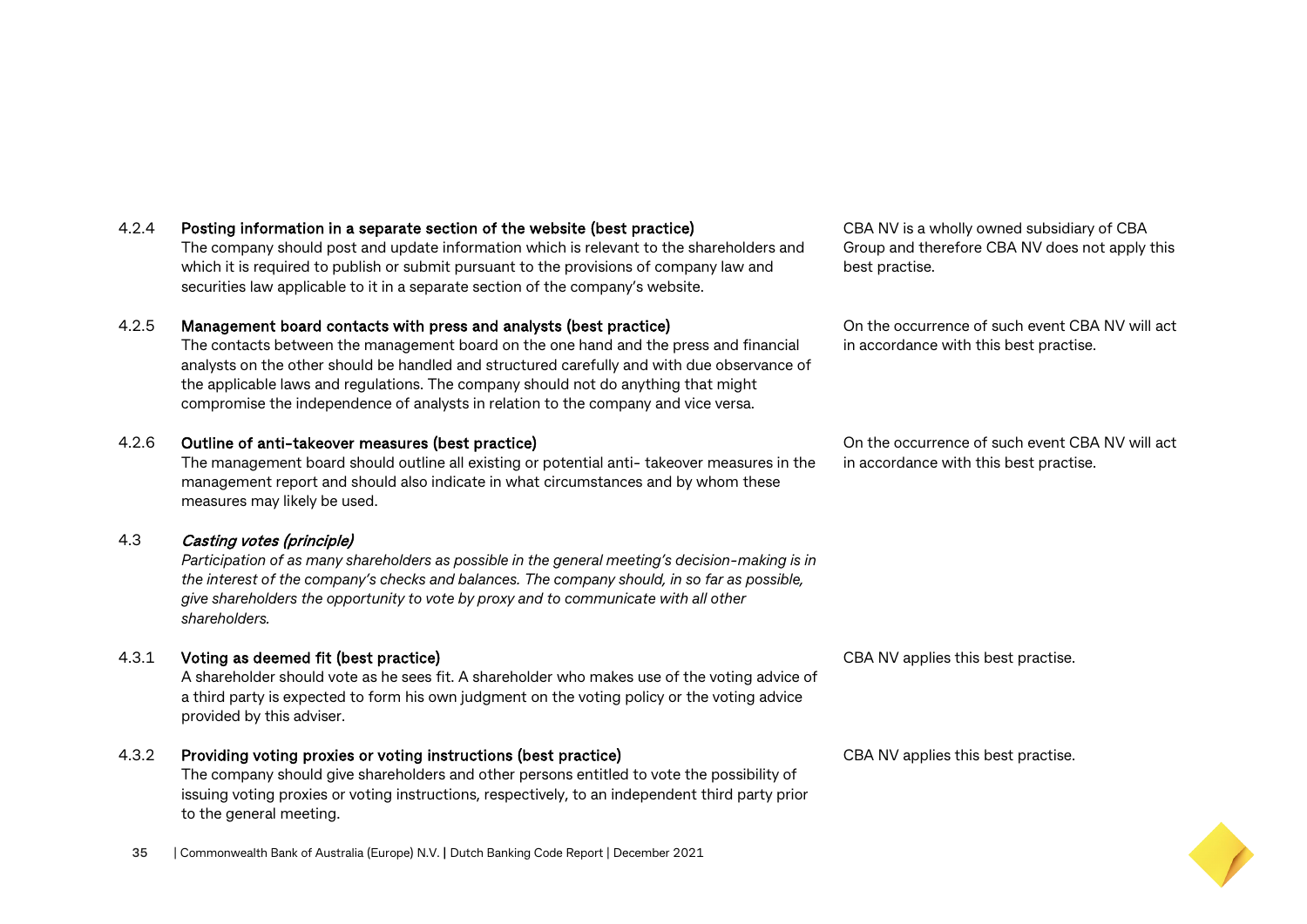#### 4.2.4 Posting information in a separate section of the website (best practice)

The company should post and update information which is relevant to the shareholders and which it is required to publish or submit pursuant to the provisions of company law and securities law applicable to it in a separate section of the company's website.

#### 4.2.5 Management board contacts with press and analysts (best practice)

The contacts between the management board on the one hand and the press and financial analysts on the other should be handled and structured carefully and with due observance of the applicable laws and regulations. The company should not do anything that might compromise the independence of analysts in relation to the company and vice versa.

#### 4.2.6 Outline of anti-takeover measures (best practice)

The management board should outline all existing or potential anti- takeover measures in the management report and should also indicate in what circumstances and by whom these measures may likely be used.

#### 4.3 Casting votes (principle)

*Participation of as many shareholders as possible in the general meeting's decision-making is in the interest of the company's checks and balances. The company should, in so far as possible, give shareholders the opportunity to vote by proxy and to communicate with all other shareholders.*

#### 4.3.1 Voting as deemed fit (best practice)

A shareholder should vote as he sees fit. A shareholder who makes use of the voting advice of a third party is expected to form his own judgment on the voting policy or the voting advice provided by this adviser.

#### 4.3.2 Providing voting proxies or voting instructions (best practice)

The company should give shareholders and other persons entitled to vote the possibility of issuing voting proxies or voting instructions, respectively, to an independent third party prior to the general meeting.

CBA NV is a wholly owned subsidiary of CBA Group and therefore CBA NV does not apply this best practise.

On the occurrence of such event CBA NV will act in accordance with this best practise.

On the occurrence of such event CBA NV will act in accordance with this best practise.

CBA NV applies this best practise.

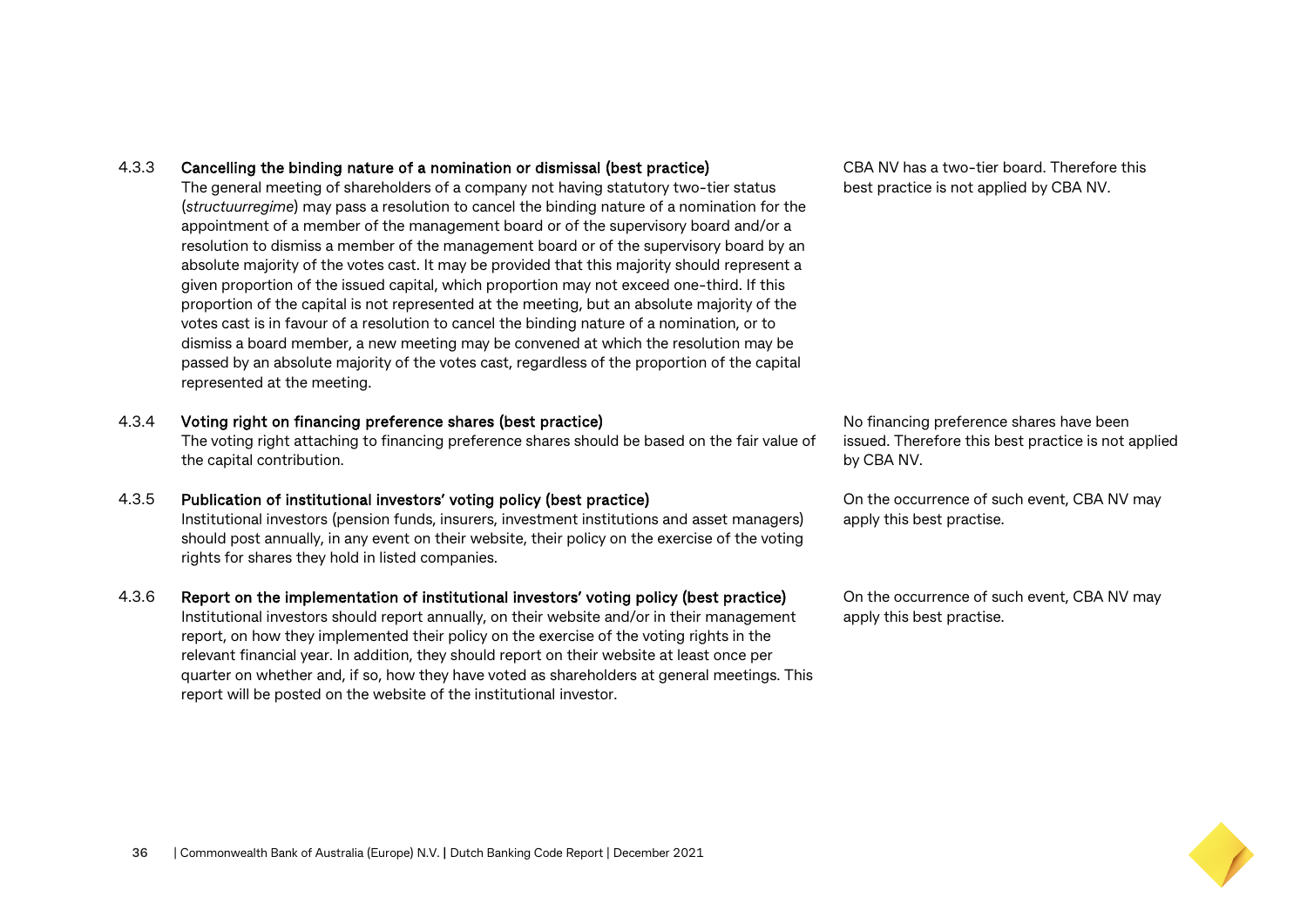- 4.3.3 Cancelling the binding nature of a nomination or dismissal (best practice) The general meeting of shareholders of a company not having statutory two-tier status (*structuurregime*) may pass a resolution to cancel the binding nature of a nomination for the appointment of a member of the management board or of the supervisory board and/or a resolution to dismiss a member of the management board or of the supervisory board by an absolute majority of the votes cast. It may be provided that this majority should represent a given proportion of the issued capital, which proportion may not exceed one-third. If this proportion of the capital is not represented at the meeting, but an absolute majority of the votes cast is in favour of a resolution to cancel the binding nature of a nomination, or to dismiss a board member, a new meeting may be convened at which the resolution may be passed by an absolute majority of the votes cast, regardless of the proportion of the capital represented at the meeting.
- 4.3.4 Voting right on financing preference shares (best practice)

The voting right attaching to financing preference shares should be based on the fair value of the capital contribution.

- 4.3.5 Publication of institutional investors' voting policy (best practice) Institutional investors (pension funds, insurers, investment institutions and asset managers) should post annually, in any event on their website, their policy on the exercise of the voting rights for shares they hold in listed companies.
- 4.3.6 Report on the implementation of institutional investors' voting policy (best practice)

Institutional investors should report annually, on their website and/or in their management report, on how they implemented their policy on the exercise of the voting rights in the relevant financial year. In addition, they should report on their website at least once per quarter on whether and, if so, how they have voted as shareholders at general meetings. This report will be posted on the website of the institutional investor.

CBA NV has a two-tier board. Therefore this best practice is not applied by CBA NV.

No financing preference shares have been issued. Therefore this best practice is not applied by CBA NV.

On the occurrence of such event, CBA NV may apply this best practise.

On the occurrence of such event, CBA NV may apply this best practise.

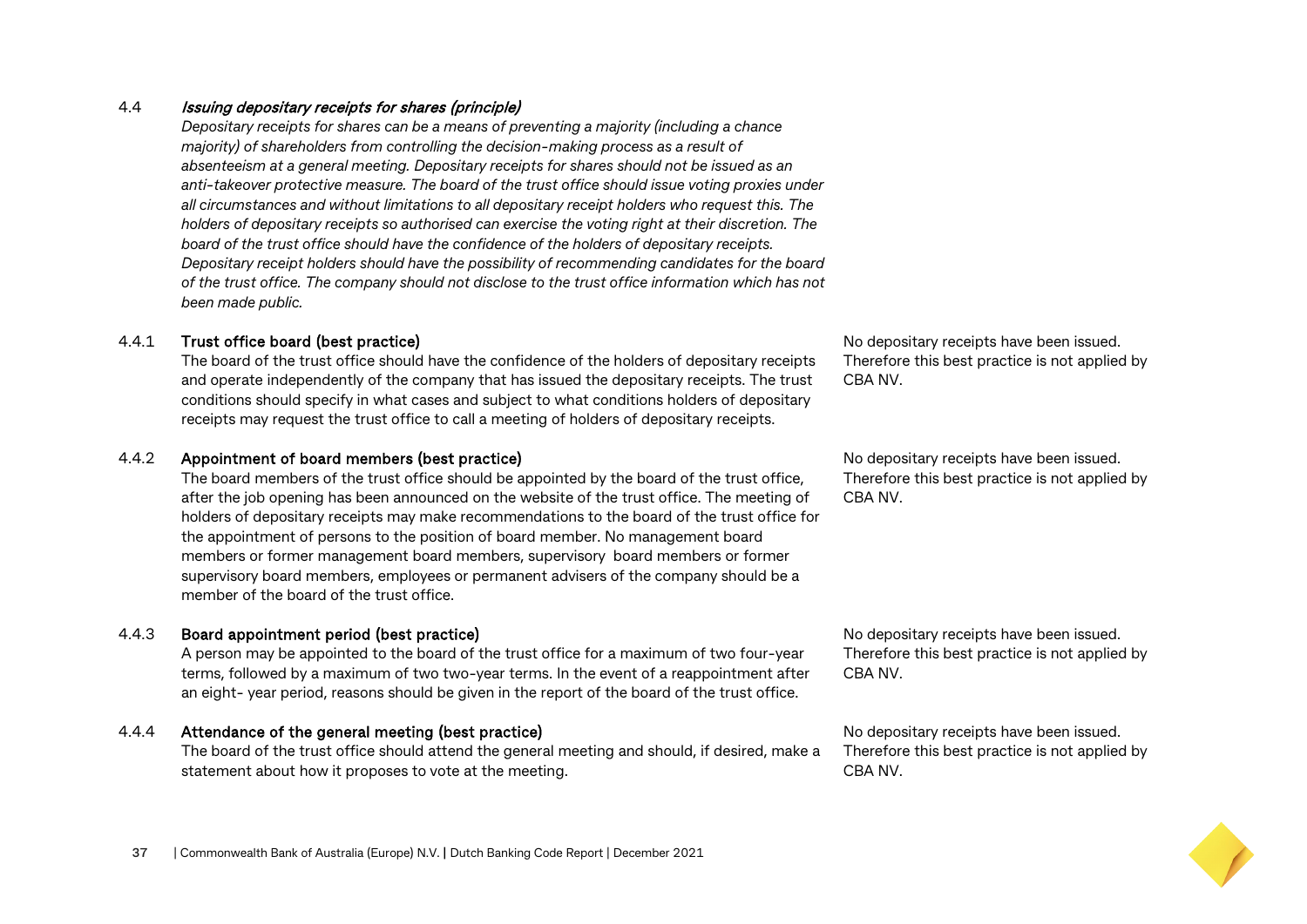#### 4.4 Issuing depositary receipts for shares (principle)

*Depositary receipts for shares can be a means of preventing a majority (including a chance majority) of shareholders from controlling the decision-making process as a result of absenteeism at a general meeting. Depositary receipts for shares should not be issued as an anti-takeover protective measure. The board of the trust office should issue voting proxies under all circumstances and without limitations to all depositary receipt holders who request this. The holders of depositary receipts so authorised can exercise the voting right at their discretion. The board of the trust office should have the confidence of the holders of depositary receipts. Depositary receipt holders should have the possibility of recommending candidates for the board of the trust office. The company should not disclose to the trust office information which has not been made public.*

#### 4.4.1 Trust office board (best practice)

The board of the trust office should have the confidence of the holders of depositary receipts and operate independently of the company that has issued the depositary receipts. The trust conditions should specify in what cases and subject to what conditions holders of depositary receipts may request the trust office to call a meeting of holders of depositary receipts.

#### 4.4.2 Appointment of board members (best practice)

The board members of the trust office should be appointed by the board of the trust office, after the job opening has been announced on the website of the trust office. The meeting of holders of depositary receipts may make recommendations to the board of the trust office for the appointment of persons to the position of board member. No management board members or former management board members, supervisory board members or former supervisory board members, employees or permanent advisers of the company should be a member of the board of the trust office.

#### 4.4.3 Board appointment period (best practice)

A person may be appointed to the board of the trust office for a maximum of two four-year terms, followed by a maximum of two two-year terms. In the event of a reappointment after an eight- year period, reasons should be given in the report of the board of the trust office.

#### 4.4.4 Attendance of the general meeting (best practice)

The board of the trust office should attend the general meeting and should, if desired, make a statement about how it proposes to vote at the meeting.

No depositary receipts have been issued. Therefore this best practice is not applied by CBA NV.

No depositary receipts have been issued. Therefore this best practice is not applied by CBA NV.

No depositary receipts have been issued. Therefore this best practice is not applied by CBA NV.

No depositary receipts have been issued. Therefore this best practice is not applied by CBA NV.

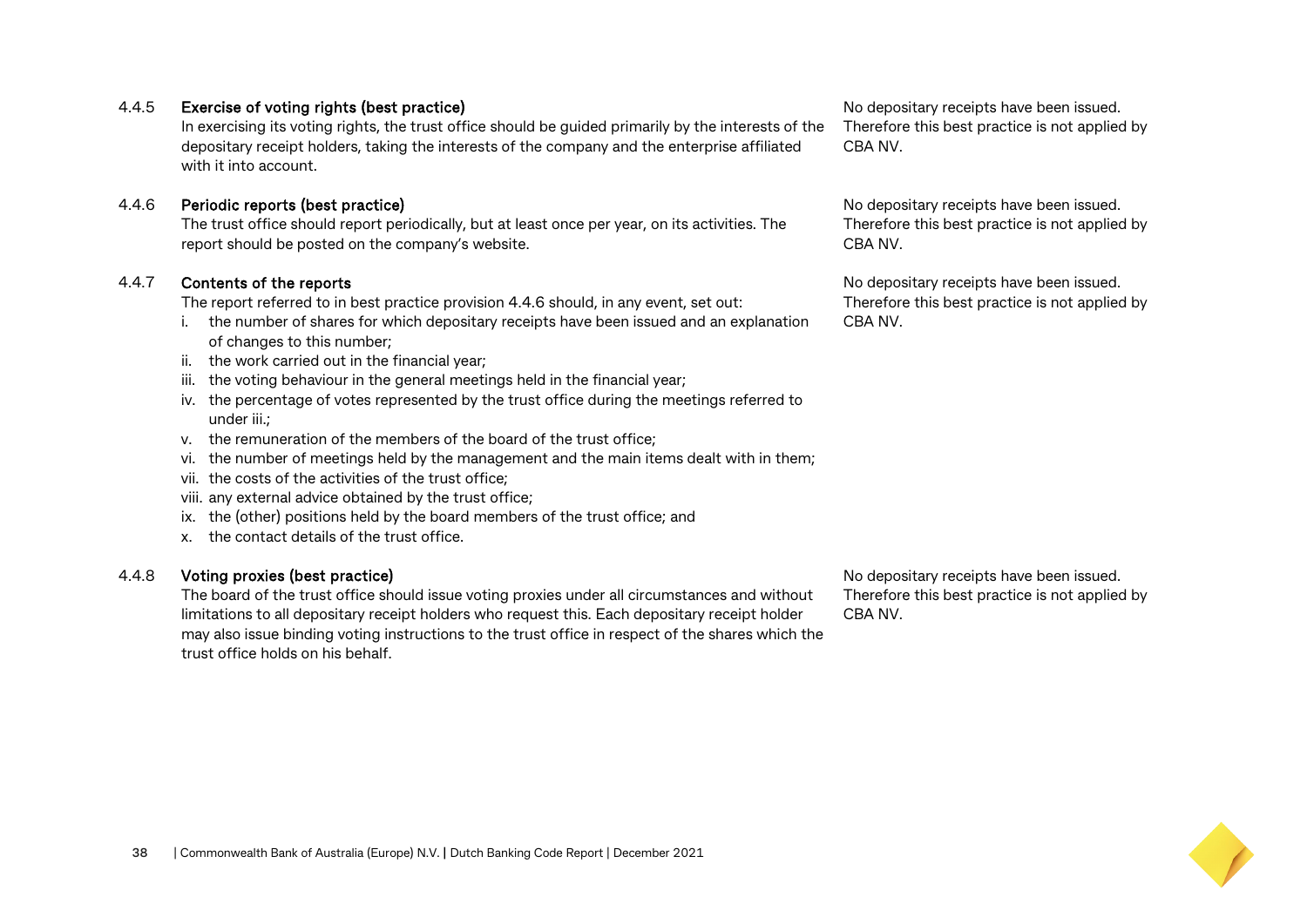#### 4.4.5 Exercise of voting rights (best practice)

In exercising its voting rights, the trust office should be guided primarily by the interests of the depositary receipt holders, taking the interests of the company and the enterprise affiliated with it into account.

#### 4.4.6 Periodic reports (best practice)

The trust office should report periodically, but at least once per year, on its activities. The report should be posted on the company's website.

#### 4.4.7 Contents of the reports

The report referred to in best practice provision 4.4.6 should, in any event, set out:

- i. the number of shares for which depositary receipts have been issued and an explanation of changes to this number;
- ii. the work carried out in the financial year;
- iii. the voting behaviour in the general meetings held in the financial year;
- iv. the percentage of votes represented by the trust office during the meetings referred to under iii.;
- v. the remuneration of the members of the board of the trust office;
- vi. the number of meetings held by the management and the main items dealt with in them;
- vii. the costs of the activities of the trust office;
- viii. any external advice obtained by the trust office;
- ix. the (other) positions held by the board members of the trust office; and
- x. the contact details of the trust office.

#### 4.4.8 Voting proxies (best practice)

The board of the trust office should issue voting proxies under all circumstances and without limitations to all depositary receipt holders who request this. Each depositary receipt holder may also issue binding voting instructions to the trust office in respect of the shares which the trust office holds on his behalf.

No depositary receipts have been issued. Therefore this best practice is not applied by CBA NV.



No depositary receipts have been issued. Therefore this best practice is not applied by CBA NV.

No depositary receipts have been issued.

CBA NV.

No depositary receipts have been issued. Therefore this best practice is not applied by CBA NV.